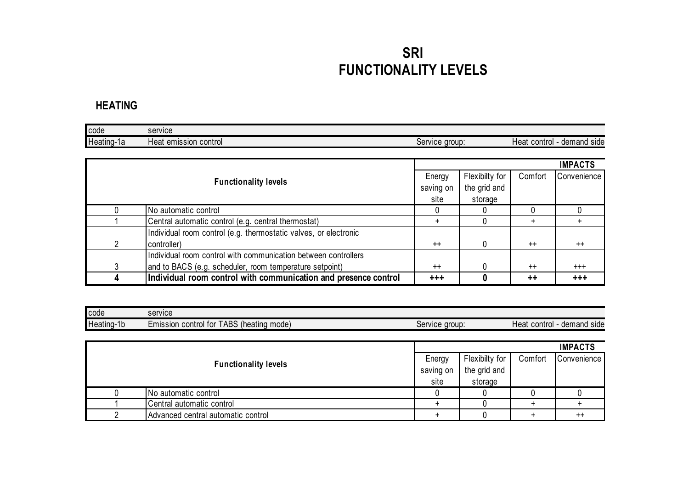## **SRI FUNCTIONALITY LEVELS**

#### **HEATING**

| <b>I</b> code | service                     |                   |                               |
|---------------|-----------------------------|-------------------|-------------------------------|
| Heating-1a    | control<br>emission<br>Heat | group:<br>Service | Heat<br>contro<br>demand side |

|   |                                                                  |           |                |                 | <b>IMPACTS</b> |
|---|------------------------------------------------------------------|-----------|----------------|-----------------|----------------|
|   | <b>Functionality levels</b>                                      |           | Flexibilty for | Comfort         | Convenience    |
|   |                                                                  | saving on | the grid and   |                 |                |
|   |                                                                  | site      | storage        |                 |                |
|   | No automatic control                                             |           |                |                 |                |
|   | Central automatic control (e.g. central thermostat)              |           |                | $\div$          | $+$            |
|   | Individual room control (e.g. thermostatic valves, or electronic |           |                |                 |                |
| 2 | controller)                                                      | $++$      | <sup>0</sup>   | $++$            | $^{++}$        |
|   | Individual room control with communication between controllers   |           |                |                 |                |
| 3 | and to BACS (e.g. scheduler, room temperature setpoint)          | $^{++}$   |                | $++$            | $^{+++}$       |
|   | Individual room control with communication and presence control  | $+++$     |                | $^{\mathrm{+}}$ | $+ + +$        |

| code       | service                                                                        |                   |                                          |
|------------|--------------------------------------------------------------------------------|-------------------|------------------------------------------|
| Heating-1b | $\sqrt{2}$<br>$\prime$<br>' ABS<br>mode<br>(heating<br>control for<br>Emission | aroup:<br>Service | demand<br>control<br>side<br><b>Heat</b> |

|  |                                    |                |              |             | <b>IMPACTS</b>  |
|--|------------------------------------|----------------|--------------|-------------|-----------------|
|  | Energy                             | Flexibilty for | Comfort      | Convenience |                 |
|  | <b>Functionality levels</b>        | saving on      | the grid and |             |                 |
|  |                                    | site           | storage      |             |                 |
|  | No automatic control               |                |              |             |                 |
|  | Central automatic control          |                |              |             |                 |
|  | Advanced central automatic control |                |              |             | $^{\mathrm{+}}$ |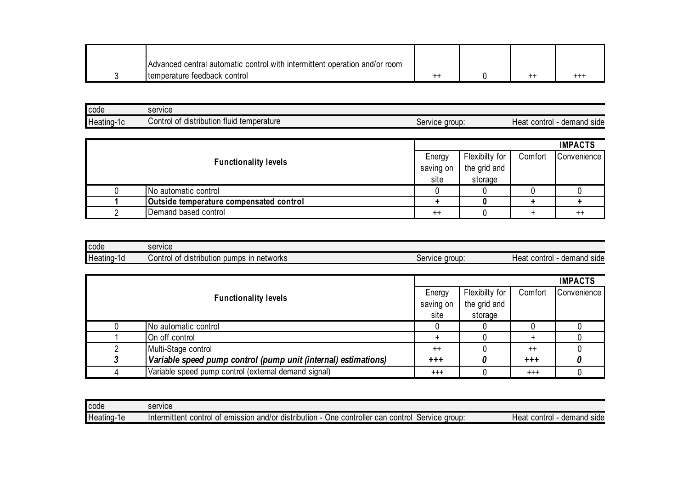| Advanced central automatic control with intermittent operation and/or room |  |     |
|----------------------------------------------------------------------------|--|-----|
| temperature feedback control                                               |  | +++ |

| <b>code</b> | service                                                                       |                   |                                                      |
|-------------|-------------------------------------------------------------------------------|-------------------|------------------------------------------------------|
| Heating-1c  | $\mathbf{r}$<br>fluid<br>temperature<br>ribution<br>ے ontrolص<br>-of<br>distr | aroup:<br>Service | demand<br>side<br>contro <sub>l</sub><br><b>Heat</b> |

|  |                                         |           |                |         | <b>IMPACTS</b>   |
|--|-----------------------------------------|-----------|----------------|---------|------------------|
|  |                                         |           | Flexibilty for | Comfort | Convenience      |
|  | <b>Functionality levels</b>             | saving on | the grid and   |         |                  |
|  |                                         | site      | storage        |         |                  |
|  | No automatic control                    |           |                |         |                  |
|  | Outside temperature compensated control |           |                |         |                  |
|  | Demand based control                    | $^{++}$   |                |         | $^{\mathrm{++}}$ |

| <b>I</b> code | service                                                                            |                   |                                                 |
|---------------|------------------------------------------------------------------------------------|-------------------|-------------------------------------------------|
| Heating-1d    | $\cdots$<br>$\cdots$<br>pumps<br>networks<br>distrib<br>-ot<br>Control<br>ribution | aroup:<br>Service | demand<br><b>Hear</b><br>control<br><b>side</b> |

|  |                                                                |           |                |          | <b>IMPACTS</b> |
|--|----------------------------------------------------------------|-----------|----------------|----------|----------------|
|  |                                                                | Energy    | Flexibilty for | Comfort  | Convenience    |
|  | <b>Functionality levels</b>                                    | saving on | the grid and   |          |                |
|  |                                                                | site      | storage        |          |                |
|  | No automatic control                                           |           |                |          |                |
|  | On off control                                                 |           |                |          |                |
|  | Multi-Stage control                                            | $++$      |                | $^{++}$  |                |
|  | Variable speed pump control (pump unit (internal) estimations) | $+ + +$   |                | $+ + +$  |                |
|  | Variable speed pump control (external demand signal)           | $^{+++}$  |                | $^{+++}$ |                |

| <b>code</b> | service                                                                                                                               |                                |
|-------------|---------------------------------------------------------------------------------------------------------------------------------------|--------------------------------|
| Heating-1e  | $\cdots$<br>. .<br>Service group:<br>⊧control<br>One controller can<br>Thitermittent control<br>distribution<br>of emission<br>and/or | demand side<br>Heat<br>control |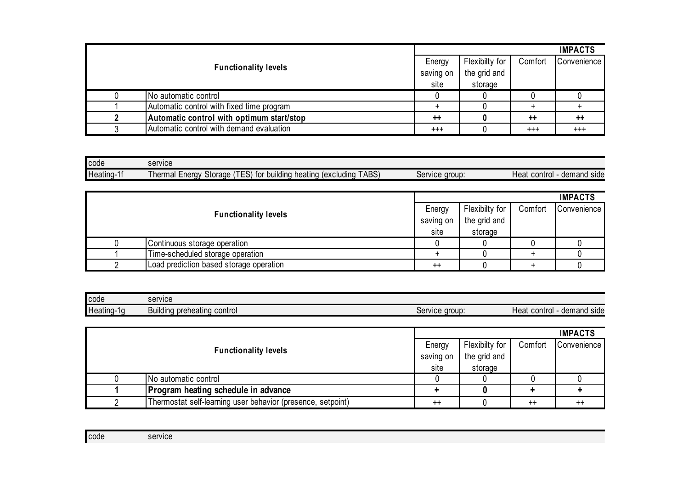|                             |                                           |              |                |         | <b>IMPACTS</b>  |
|-----------------------------|-------------------------------------------|--------------|----------------|---------|-----------------|
|                             |                                           |              | Flexibilty for | Comfort | Convenience     |
| <b>Functionality levels</b> | saving on                                 | the grid and |                |         |                 |
|                             |                                           | site         | storage        |         |                 |
|                             | No automatic control                      |              |                |         |                 |
|                             | Automatic control with fixed time program |              |                |         |                 |
|                             | Automatic control with optimum start/stop | $++$         |                | $++$    | $^{\mathrm{+}}$ |
|                             | Automatic control with demand evaluation  | $^{++}$      |                | $^{++}$ | $^{+++}$        |

| <b>code</b>      | service                                                                                                               |                   |                                |
|------------------|-----------------------------------------------------------------------------------------------------------------------|-------------------|--------------------------------|
| Heating-1<br>. . | TTEM<br>ABS)<br>1 L.<br>heating<br>Storage<br>building<br>' hermal l<br>excluding)<br>-nerav<br>†∩r<br>∵ ( ت ∟<br>ושו | aroup:<br>Service | Heat<br>demand side<br>control |

|                                         |           |                |         | <b>IMPACTS</b> |
|-----------------------------------------|-----------|----------------|---------|----------------|
|                                         | Energy    | Flexibilty for | Comfort | Convenience    |
| <b>Functionality levels</b>             | saving on | the grid and   |         |                |
|                                         | site      | storage        |         |                |
| Continuous storage operation            |           |                |         |                |
| Time-scheduled storage operation        |           |                |         |                |
| Load prediction based storage operation | $++$      |                |         |                |

| code       | service         |        |         |
|------------|-----------------|--------|---------|
| Heating-1g | $\sim$          | aroup  | control |
|            | control         | :anuna | demand  |
|            | preheating      | סטו    | side    |
|            | <b>Building</b> | וסט    | Heat    |

|                             |                                                             |           |                |         | <b>IMPACTS</b>   |
|-----------------------------|-------------------------------------------------------------|-----------|----------------|---------|------------------|
| <b>Functionality levels</b> |                                                             | Energy    | Flexibilty for | Comfort | Convenience      |
|                             |                                                             | saving on | the grid and   |         |                  |
|                             |                                                             | site      | storage        |         |                  |
|                             | No automatic control                                        |           |                |         |                  |
|                             | Program heating schedule in advance                         |           |                |         |                  |
|                             | Thermostat self-learning user behavior (presence, setpoint) | $^{++}$   |                | $^{++}$ | $^{\mathrm{++}}$ |

| code | service |  |
|------|---------|--|
|      |         |  |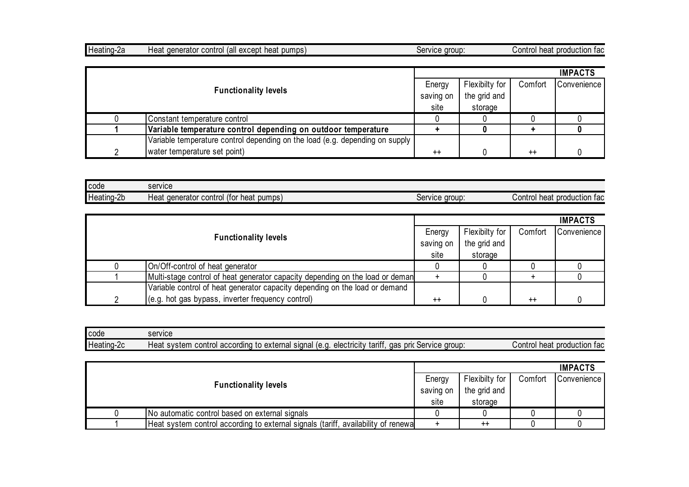| Heating-2a<br>denerator<br><b>Heat</b> | ⊿ (all except ˈ<br>: heat pumps)<br>control | aroup:<br>ervice: | heat<br>production fac<br>Contro |
|----------------------------------------|---------------------------------------------|-------------------|----------------------------------|
|----------------------------------------|---------------------------------------------|-------------------|----------------------------------|

|                             |                                                                              |           |                |         | <b>IMPACTS</b> |
|-----------------------------|------------------------------------------------------------------------------|-----------|----------------|---------|----------------|
| <b>Functionality levels</b> |                                                                              | Energy    | Flexibilty for | Comfort | Convenience    |
|                             |                                                                              | saving on | the grid and   |         |                |
|                             |                                                                              | site      | storage        |         |                |
|                             | Constant temperature control                                                 |           |                |         |                |
|                             | Variable temperature control depending on outdoor temperature                |           |                |         |                |
|                             | Variable temperature control depending on the load (e.g. depending on supply |           |                |         |                |
|                             | water temperature set point)                                                 | $++$      |                | $++$    |                |

| <b>code</b> | service                                                        |                       |                                   |
|-------------|----------------------------------------------------------------|-----------------------|-----------------------------------|
| Heating-2b  | $\cdot$<br>(foi<br>heat pumps)<br>denerator<br>control<br>Heat | service group:<br>וסט | heat<br>production fac<br>Control |

|                                                                               |                 |                |         | <b>IMPACTS</b> |
|-------------------------------------------------------------------------------|-----------------|----------------|---------|----------------|
|                                                                               | Energy          | Flexibilty for | Comfort | Convenience    |
| <b>Functionality levels</b>                                                   | saving on       | the grid and   |         |                |
|                                                                               | site            | storage        |         |                |
| On/Off-control of heat generator                                              |                 |                |         |                |
| Multi-stage control of heat generator capacity depending on the load or deman |                 |                |         |                |
| Variable control of heat generator capacity depending on the load or demand   |                 |                |         |                |
| (e.g. hot gas bypass, inverter frequency control)                             | $^{\mathrm{+}}$ |                | $^{++}$ |                |

| l code     | service                                                                                                                                      |                                     |
|------------|----------------------------------------------------------------------------------------------------------------------------------------------|-------------------------------------|
| Heating-2c | $\cdot$ .<br>pric<br>Service group:<br>signal<br>⊦external<br>tariff<br>gas<br>electricity<br>control according<br>le.a<br>Heat system<br>το | Control<br>heat<br>: production fac |

|                                                                                    |           |                |         | <b>IMPACTS</b> |
|------------------------------------------------------------------------------------|-----------|----------------|---------|----------------|
| <b>Functionality levels</b>                                                        | Energy    | Flexibilty for | Comfort | Convenience    |
|                                                                                    | saving on | the grid and   |         |                |
|                                                                                    | site      | storage        |         |                |
| No automatic control based on external signals                                     |           |                |         |                |
| Heat system control according to external signals (tariff, availability of renewal |           | $^{++}$        |         |                |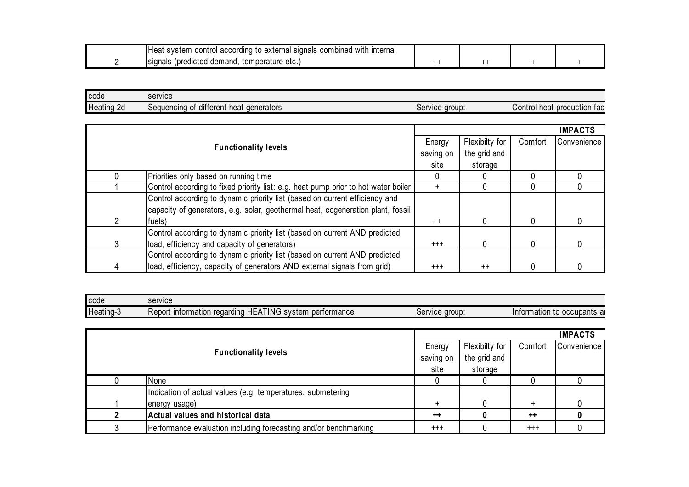| .<br><b>Interna</b><br>: combined<br>i according<br>with<br>signals<br>external ا<br>control<br>to<br>. Heat<br>svstem |     |  |
|------------------------------------------------------------------------------------------------------------------------|-----|--|
| temperature etc.<br>(predicted demand.)<br><b>Signals</b>                                                              | --- |  |

| code       | service                                               |                     |                                   |
|------------|-------------------------------------------------------|---------------------|-----------------------------------|
| Heating-2d | <br>Jequencing m<br>different<br>denerators<br>∶ heat | : aroup:<br>Service | heat<br>production fac<br>Control |
|            |                                                       |                     |                                   |

|   |                                                                                    |           |                | <b>IMPACTS</b> |             |
|---|------------------------------------------------------------------------------------|-----------|----------------|----------------|-------------|
|   | <b>Functionality levels</b>                                                        | Energy    | Flexibilty for | Comfort        | Convenience |
|   |                                                                                    | saving on | the grid and   |                |             |
|   |                                                                                    | site      | storage        |                |             |
|   | Priorities only based on running time                                              |           |                |                |             |
|   | Control according to fixed priority list: e.g. heat pump prior to hot water boiler |           |                |                |             |
|   | Control according to dynamic priority list (based on current efficiency and        |           |                |                |             |
|   | capacity of generators, e.g. solar, geothermal heat, cogeneration plant, fossil    |           |                |                |             |
| 2 | fuels)                                                                             | $^{++}$   | 0              |                |             |
|   | Control according to dynamic priority list (based on current AND predicted         |           |                |                |             |
| 3 | load, efficiency and capacity of generators)                                       | $^{+++}$  | 0              |                |             |
|   | Control according to dynamic priority list (based on current AND predicted         |           |                |                |             |
| 4 | load, efficiency, capacity of generators AND external signals from grid)           | $^{+++}$  | $++$           |                |             |

| code      | service                                                                                  |                            |                                 |
|-----------|------------------------------------------------------------------------------------------|----------------------------|---------------------------------|
| leating-3 | ATING<br>information<br>tormance<br>Report<br>regarding<br>system<br>per<br>11 L L<br>`` | aroup<br>:anura<br>OCIVILC | ⊨to occupants ai<br>Information |

|  |                                                                  |           |                |          | <b>IMPACTS</b> |
|--|------------------------------------------------------------------|-----------|----------------|----------|----------------|
|  |                                                                  |           | Flexibilty for | Comfort  | Convenience    |
|  | <b>Functionality levels</b>                                      | saving on | the grid and   |          |                |
|  | site                                                             | storage   |                |          |                |
|  | None                                                             |           |                |          |                |
|  | Indication of actual values (e.g. temperatures, submetering      |           |                |          |                |
|  | energy usage)                                                    | $\div$    |                | ÷        |                |
|  | Actual values and historical data                                | $++$      |                | $++$     |                |
|  | Performance evaluation including forecasting and/or benchmarking | $^{+++}$  |                | $^{+++}$ |                |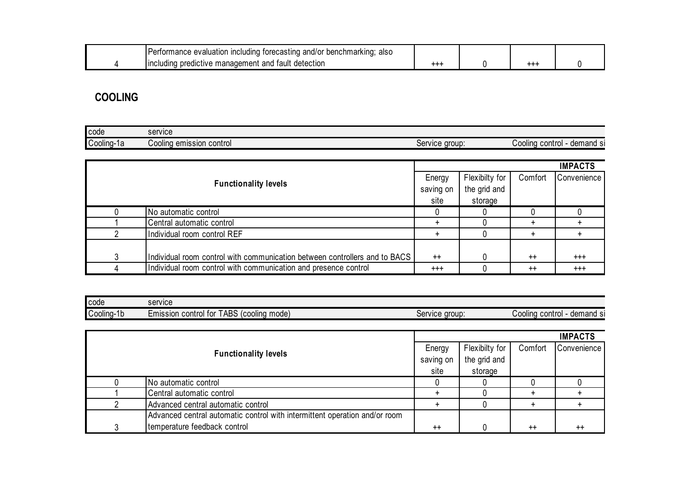|  | Performance evaluation including<br>torecasting and/or benchmarking;<br>also |  |  |
|--|------------------------------------------------------------------------------|--|--|
|  | l fault detection<br>a predictive management and $\cdot$<br><b>uncluding</b> |  |  |

## **COOLING**

| code       | service  |                |                |
|------------|----------|----------------|----------------|
| $\cdots$   | control  | Service group: | demand si      |
| $\sim$     | emission |                | control        |
| Cooling-1a | Cooling  |                | <b>Cooling</b> |

| <b>Functionality levels</b> |                                                                            | <b>IMPACTS</b> |                |         |             |  |  |
|-----------------------------|----------------------------------------------------------------------------|----------------|----------------|---------|-------------|--|--|
|                             |                                                                            | Energy         | Flexibilty for | Comfort | Convenience |  |  |
|                             |                                                                            | saving on      | the grid and   |         |             |  |  |
|                             |                                                                            | site           | storage        |         |             |  |  |
|                             | No automatic control                                                       |                |                |         |             |  |  |
|                             | Central automatic control                                                  |                |                |         |             |  |  |
|                             | Individual room control REF                                                |                |                |         |             |  |  |
|                             |                                                                            |                |                |         |             |  |  |
| 3                           | Individual room control with communication between controllers and to BACS | $^{++}$        |                | $++$    | $^{+++}$    |  |  |
|                             | Individual room control with communication and presence control            | $^{+++}$       |                | $^{++}$ | $^{+++}$    |  |  |

| <b>code</b> | service                                                     |                                  |                                 |
|-------------|-------------------------------------------------------------|----------------------------------|---------------------------------|
| Cooling-1b  | <b>TABS</b><br>(cooling mode)<br>tor<br>Emission<br>control | aroup:<br>SAMINA<br>1 IV U<br>◡◡ | demand si<br>control<br>ش0olinq |

|  |                                                                            |      |                |         | <b>IMPACTS</b> |
|--|----------------------------------------------------------------------------|------|----------------|---------|----------------|
|  | <b>Functionality levels</b>                                                |      | Flexibilty for | Comfort | Convenience    |
|  |                                                                            |      | the grid and   |         |                |
|  |                                                                            | site | storage        |         |                |
|  | No automatic control                                                       |      |                |         |                |
|  | Central automatic control                                                  |      |                |         |                |
|  | Advanced central automatic control                                         |      |                |         |                |
|  | Advanced central automatic control with intermittent operation and/or room |      |                |         |                |
|  | temperature feedback control                                               | $++$ |                | $^{++}$ | $^{++}$        |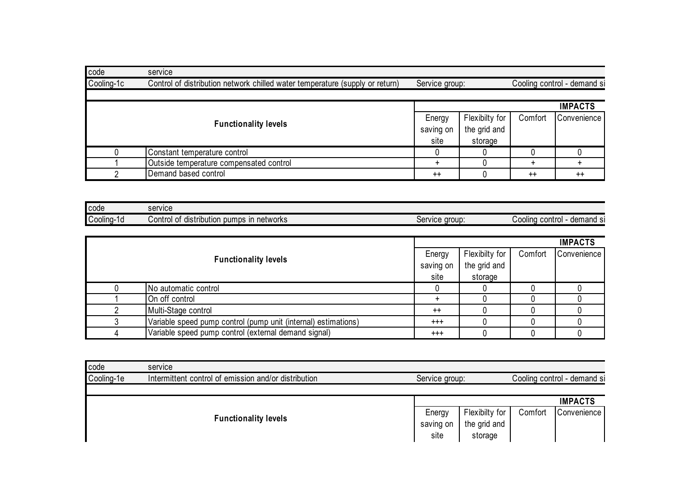| code       | service                                                                      |                |                |         |                             |
|------------|------------------------------------------------------------------------------|----------------|----------------|---------|-----------------------------|
| Cooling-1c | Control of distribution network chilled water temperature (supply or return) | Service group: |                |         | Cooling control - demand si |
|            |                                                                              |                |                |         | <b>IMPACTS</b>              |
|            | <b>Functionality levels</b>                                                  | Energy         | Flexibilty for | Comfort | Convenience                 |
|            | saving on<br>site                                                            | the grid and   |                |         |                             |
|            | Constant temperature control                                                 |                | storage        |         |                             |
|            | Outside temperature compensated control                                      | $\div$         |                |         |                             |
|            | Demand based control                                                         | $++$           |                | $++$    | $^{++}$                     |

| code       | SAMICA<br>301 Y IUG                                                    |                           |                                   |
|------------|------------------------------------------------------------------------|---------------------------|-----------------------------------|
| Cooling-1d | networks<br>pumps<br>ın<br>⊘ontrol ⊜<br>tribution<br>^1<br>distr<br>וש | e aroup:<br>iervice<br>יט | demand Si<br>Cooling ⊜<br>control |

|  |                                                                |          |                |         | <b>IMPACTS</b> |
|--|----------------------------------------------------------------|----------|----------------|---------|----------------|
|  | <b>Functionality levels</b><br>saving on                       |          | Flexibilty for | Comfort | Convenience    |
|  |                                                                |          | the grid and   |         |                |
|  |                                                                | site     | storage        |         |                |
|  | No automatic control                                           |          |                |         |                |
|  | On off control                                                 |          |                |         |                |
|  | Multi-Stage control                                            | $++$     |                |         |                |
|  | Variable speed pump control (pump unit (internal) estimations) | $^{+++}$ |                |         |                |
|  | Variable speed pump control (external demand signal)           | $^{+++}$ |                |         |                |

| code       | service                                              |                             |                                           |                             |                |  |
|------------|------------------------------------------------------|-----------------------------|-------------------------------------------|-----------------------------|----------------|--|
| Cooling-1e | Intermittent control of emission and/or distribution | Service group:              |                                           | Cooling control - demand si |                |  |
|            |                                                      |                             |                                           |                             | <b>IMPACTS</b> |  |
|            | <b>Functionality levels</b>                          | Energy<br>saving on<br>site | Flexibilty for<br>the grid and<br>storage | Comfort                     | Convenience    |  |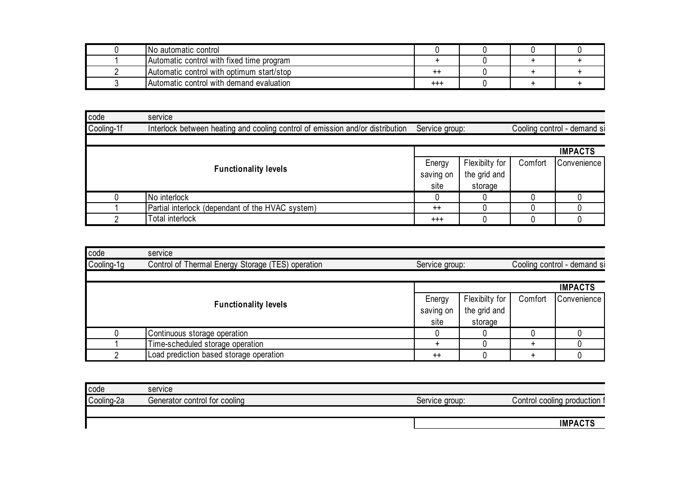| INo automatic control                     |         |  |  |
|-------------------------------------------|---------|--|--|
| Automatic control with fixed time program |         |  |  |
| Automatic control with optimum start/stop | ---     |  |  |
| Automatic control with demand evaluation  | $^{++}$ |  |  |

| code       | service                                                                                         |           |                |                             |                |  |
|------------|-------------------------------------------------------------------------------------------------|-----------|----------------|-----------------------------|----------------|--|
| Cooling-1f | Service group:<br>Interlock between heating and cooling control of emission and/or distribution |           |                | Cooling control - demand si |                |  |
|            |                                                                                                 |           |                |                             | <b>IMPACTS</b> |  |
|            |                                                                                                 | Energy    | Flexibilty for | Comfort                     | Convenience    |  |
|            | <b>Functionality levels</b>                                                                     | saving on | the grid and   |                             |                |  |
|            |                                                                                                 | site      | storage        |                             |                |  |
|            | No interlock                                                                                    |           |                |                             |                |  |
|            | Partial interlock (dependant of the HVAC system)                                                | $^{++}$   |                |                             |                |  |
|            | Total interlock                                                                                 | $^{+++}$  |                |                             |                |  |

| code       | service                                           |                |                |         |                             |
|------------|---------------------------------------------------|----------------|----------------|---------|-----------------------------|
| Cooling-1g | Control of Thermal Energy Storage (TES) operation | Service group: |                |         | Cooling control - demand si |
|            |                                                   |                |                |         | <b>IMPACTS</b>              |
|            |                                                   | Energy         | Flexibilty for | Comfort | Convenience                 |
|            | <b>Functionality levels</b>                       | saving on      | the grid and   |         |                             |
|            |                                                   | site           | storage        |         |                             |
|            | Continuous storage operation                      |                |                |         |                             |
|            | Time-scheduled storage operation                  |                |                |         |                             |
|            | Load prediction based storage operation           | $^{++}$        |                |         |                             |

| code       | service                       |                |                                    |
|------------|-------------------------------|----------------|------------------------------------|
| Cooling-2a | Generator control for cooling | Service aroup: | Control cooling production $\cdot$ |
|            |                               |                |                                    |
|            |                               |                | חד מ                               |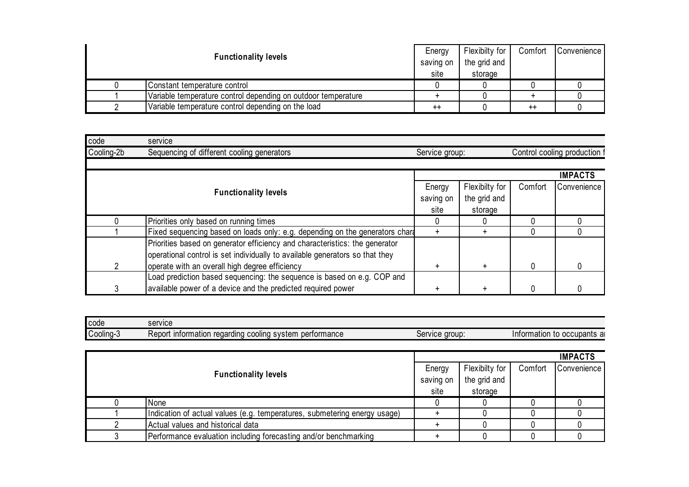| <b>Functionality levels</b> |                                                               | Energy          | Flexibilty for | Comfort | Convenience |
|-----------------------------|---------------------------------------------------------------|-----------------|----------------|---------|-------------|
|                             |                                                               | saving on       | the grid and   |         |             |
|                             |                                                               | site            | storage        |         |             |
|                             | Constant temperature control                                  |                 |                |         |             |
|                             | Variable temperature control depending on outdoor temperature |                 |                |         |             |
|                             | Variable temperature control depending on the load            | $^{\mathrm{+}}$ |                | $^{++}$ |             |

| code       | service                                                                                                                                                                                                       |                             |                                           |         |                              |
|------------|---------------------------------------------------------------------------------------------------------------------------------------------------------------------------------------------------------------|-----------------------------|-------------------------------------------|---------|------------------------------|
| Cooling-2b | Sequencing of different cooling generators                                                                                                                                                                    | Service group:              |                                           |         | Control cooling production f |
|            |                                                                                                                                                                                                               |                             |                                           |         | <b>IMPACTS</b>               |
|            | <b>Functionality levels</b>                                                                                                                                                                                   | Energy<br>saving on<br>site | Flexibilty for<br>the grid and<br>storage | Comfort | Convenience                  |
|            | Priorities only based on running times                                                                                                                                                                        | 0                           |                                           |         |                              |
|            | Fixed sequencing based on loads only: e.g. depending on the generators chard                                                                                                                                  | $\ddot{}$                   | $\ddot{}$                                 | 0       |                              |
|            | Priorities based on generator efficiency and characteristics: the generator<br>operational control is set individually to available generators so that they<br>operate with an overall high degree efficiency | $\ddot{}$                   | $+$                                       |         |                              |
|            | Load prediction based sequencing: the sequence is based on e.g. COP and                                                                                                                                       |                             |                                           |         |                              |
|            | available power of a device and the predicted required power                                                                                                                                                  |                             |                                           |         |                              |

| code                  | service                                                                |                                 |                                  |
|-----------------------|------------------------------------------------------------------------|---------------------------------|----------------------------------|
| $\cdots$<br>Cooling-3 | performance<br>Report<br>information<br>regarding<br>i coolina svstem. | aroup :<br>SAMINA<br>ו טו<br>טע | , to occupants ar<br>Information |

|                             |                                                                           |           |                | <b>IMPACTS</b> |             |  |
|-----------------------------|---------------------------------------------------------------------------|-----------|----------------|----------------|-------------|--|
|                             |                                                                           |           | Flexibilty for | Comfort        | Convenience |  |
| <b>Functionality levels</b> |                                                                           | saving on | the grid and   |                |             |  |
|                             |                                                                           | site      | storage        |                |             |  |
|                             | None                                                                      |           |                |                |             |  |
|                             | Indication of actual values (e.g. temperatures, submetering energy usage) |           |                |                |             |  |
|                             | Actual values and historical data                                         |           |                |                |             |  |
|                             | Performance evaluation including forecasting and/or benchmarking          |           |                |                |             |  |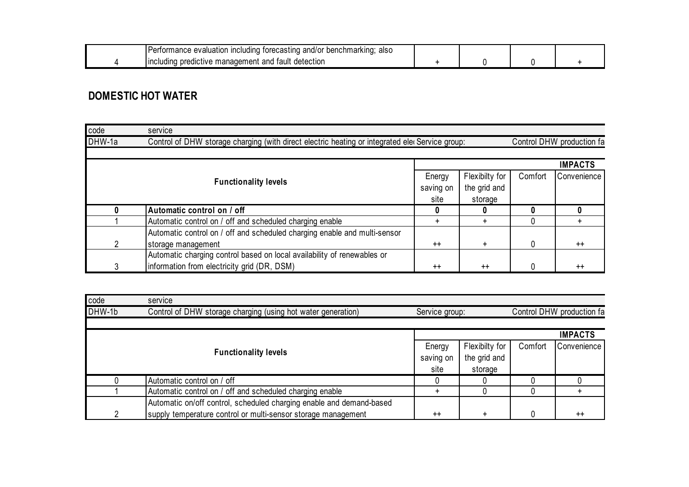| . .<br>benchmarkıng:<br>torecasting<br>and/<br><b>Including</b><br>also<br>evaluation<br>τormance⊤<br>יש |  |  |
|----------------------------------------------------------------------------------------------------------|--|--|
| tault<br>detection<br>i predictive manadement<br>and<br>linc<br>udinc                                    |  |  |

#### **DOMESTIC HOT WATER**

| code                        | service                                                                                        |                |                |         |                           |
|-----------------------------|------------------------------------------------------------------------------------------------|----------------|----------------|---------|---------------------------|
| DHW-1a                      | Control of DHW storage charging (with direct electric heating or integrated ele Service group: |                |                |         | Control DHW production fa |
|                             |                                                                                                |                |                |         |                           |
|                             |                                                                                                | <b>IMPACTS</b> |                |         |                           |
| <b>Functionality levels</b> |                                                                                                | Energy         | Flexibilty for | Comfort | Convenience               |
|                             |                                                                                                | saving on      | the grid and   |         |                           |
|                             |                                                                                                | site           | storage        |         |                           |
|                             | Automatic control on / off                                                                     |                |                |         | 0                         |
|                             | Automatic control on / off and scheduled charging enable                                       |                | +              |         |                           |
|                             | Automatic control on / off and scheduled charging enable and multi-sensor                      |                |                |         |                           |
|                             | storage management                                                                             | $++$           | $\ddot{}$      | 0       | $++$                      |
|                             | Automatic charging control based on local availability of renewables or                        |                |                |         |                           |
|                             | information from electricity grid (DR, DSM)                                                    | $^{++}$        | $^{++}$        | 0       | $^{++}$                   |

| code   | service                                                              |                |                |         |                           |
|--------|----------------------------------------------------------------------|----------------|----------------|---------|---------------------------|
| DHW-1b | Control of DHW storage charging (using hot water generation)         | Service group: |                |         | Control DHW production fa |
|        |                                                                      |                |                |         |                           |
|        |                                                                      |                |                |         | <b>IMPACTS</b>            |
|        |                                                                      | Energy         | Flexibilty for | Comfort | Convenience               |
|        | <b>Functionality levels</b>                                          | saving on      | the grid and   |         |                           |
|        |                                                                      | site           | storage        |         |                           |
|        | Automatic control on / off                                           |                |                |         |                           |
|        | Automatic control on / off and scheduled charging enable             |                |                |         |                           |
|        | Automatic on/off control, scheduled charging enable and demand-based |                |                |         |                           |
|        | supply temperature control or multi-sensor storage management        | $^{++}$        |                |         | $^{++}$                   |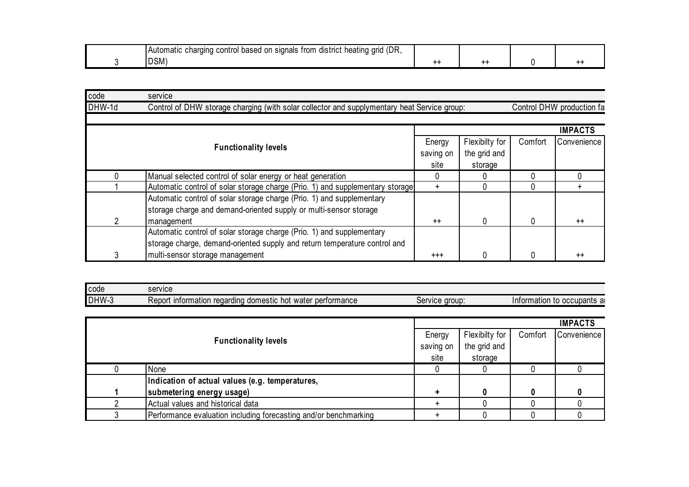| (DR<br>control<br>trom<br>district<br>.on<br>heating<br>arıd<br>based<br>signals<br>ïna<br>chard<br>Automatic |     |  |  |
|---------------------------------------------------------------------------------------------------------------|-----|--|--|
| $\sim$<br>IDSM                                                                                                | --- |  |  |

| code   | service                                                                                                                                    |                             |                                           |         |                           |
|--------|--------------------------------------------------------------------------------------------------------------------------------------------|-----------------------------|-------------------------------------------|---------|---------------------------|
| DHW-1d | Control of DHW storage charging (with solar collector and supplymentary heat Service group:                                                |                             |                                           |         | Control DHW production fa |
|        |                                                                                                                                            |                             |                                           |         | <b>IMPACTS</b>            |
|        | <b>Functionality levels</b>                                                                                                                | Energy<br>saving on<br>site | Flexibilty for<br>the grid and<br>storage | Comfort | Convenience               |
|        | Manual selected control of solar energy or heat generation                                                                                 |                             |                                           |         |                           |
|        | Automatic control of solar storage charge (Prio. 1) and supplementary storage                                                              | $\div$                      |                                           |         |                           |
|        | Automatic control of solar storage charge (Prio. 1) and supplementary<br>storage charge and demand-oriented supply or multi-sensor storage |                             |                                           |         |                           |
|        | management                                                                                                                                 | $++$                        |                                           | 0       | $++$                      |
|        | Automatic control of solar storage charge (Prio. 1) and supplementary                                                                      |                             |                                           |         |                           |
|        | storage charge, demand-oriented supply and return temperature control and                                                                  |                             |                                           |         |                           |
|        | multi-sensor storage management                                                                                                            | $^{++}$                     |                                           | 0       | $++$                      |

| code  | service                                                                                  |                                        |                                  |
|-------|------------------------------------------------------------------------------------------|----------------------------------------|----------------------------------|
| DHW-3 | water performance<br>n regardı <sup>.</sup><br>i domestic hot<br>Rer<br>information<br>п | : aroup:<br>۱۵۳٬۱۱۴۵<br><b>ORIVICE</b> | ı to occupants aı<br>Information |

|                                                                  |           |                |         | <b>IMPACTS</b> |
|------------------------------------------------------------------|-----------|----------------|---------|----------------|
|                                                                  | Energy    | Flexibilty for | Comfort | Convenience    |
| <b>Functionality levels</b>                                      | saving on | the grid and   |         |                |
|                                                                  | site      | storage        |         |                |
| None                                                             |           |                |         |                |
| Indication of actual values (e.g. temperatures,                  |           |                |         |                |
| submetering energy usage)                                        |           |                |         |                |
| Actual values and historical data                                |           |                |         |                |
| Performance evaluation including forecasting and/or benchmarking |           |                |         |                |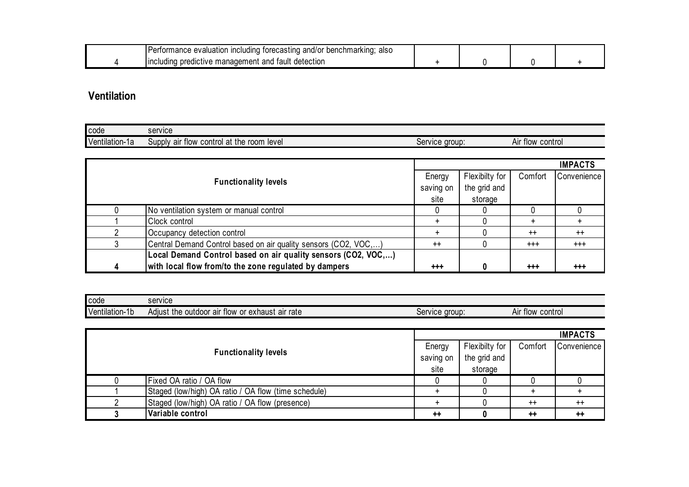| cına:<br>alsc<br><b>COM</b><br>ıncludın<br>astino<br>$\sim$<br>wа<br>.1/C<br>mπ.<br>nmark<br>aluatio.<br>u<br>наг<br>- 14<br>$\mathbf{v}$<br>. .<br>. . |  |  |
|---------------------------------------------------------------------------------------------------------------------------------------------------------|--|--|
| <b>Includin</b><br>tault<br>ar<br>detection<br>meni<br>וויר.<br><u>ilaliauell</u>                                                                       |  |  |

## **Ventilation**

| <b>I</b> code  | service                                                     |                  |                     |
|----------------|-------------------------------------------------------------|------------------|---------------------|
| Ventilation-1a | ⊥the r<br>control at<br>room<br>level<br>air flow<br>Supply | aroup<br>Service | control<br>Air flow |

|   |                                                                 |           |                |          | <b>IMPACTS</b> |
|---|-----------------------------------------------------------------|-----------|----------------|----------|----------------|
|   |                                                                 | Energy    | Flexibilty for | Comfort  | Convenience    |
|   | <b>Functionality levels</b>                                     | saving on | the grid and   |          |                |
|   |                                                                 | site      | storage        |          |                |
|   | No ventilation system or manual control                         |           |                |          |                |
|   | Clock control                                                   |           |                |          |                |
|   | Occupancy detection control                                     |           |                | $++$     | $^{++}$        |
|   | Central Demand Control based on air quality sensors (CO2, VOC,) | $++$      |                | $^{+++}$ | $^{+++}$       |
|   | Local Demand Control based on air quality sensors (CO2, VOC,)   |           |                |          |                |
| 4 | with local flow from/to the zone regulated by dampers           | $+ + +$   |                | $+ + +$  | $^{++}$        |

| code           | service                                                              |                         |                        |
|----------------|----------------------------------------------------------------------|-------------------------|------------------------|
| Ventilation-1b | air rate<br>outdoor<br>exhaust<br>air<br>or<br>the<br>tlow<br>Adiust | <b>aroup</b><br>Service | control<br>Aır<br>tlow |

|                             |                                                      |           |                |                 | <b>IMPACTS</b>  |
|-----------------------------|------------------------------------------------------|-----------|----------------|-----------------|-----------------|
| <b>Functionality levels</b> |                                                      | Energy    | Flexibilty for | Comfort         | Convenience     |
|                             |                                                      | saving on | the grid and   |                 |                 |
|                             |                                                      | site      | storage        |                 |                 |
|                             | Fixed OA ratio / OA flow                             |           |                |                 |                 |
|                             | Staged (low/high) OA ratio / OA flow (time schedule) |           |                |                 |                 |
|                             | Staged (low/high) OA ratio / OA flow (presence)      |           |                | $^{++}$         | $^{++}$         |
|                             | Variable control                                     | $++$      |                | $^{\mathrm{+}}$ | $^{\mathrm{+}}$ |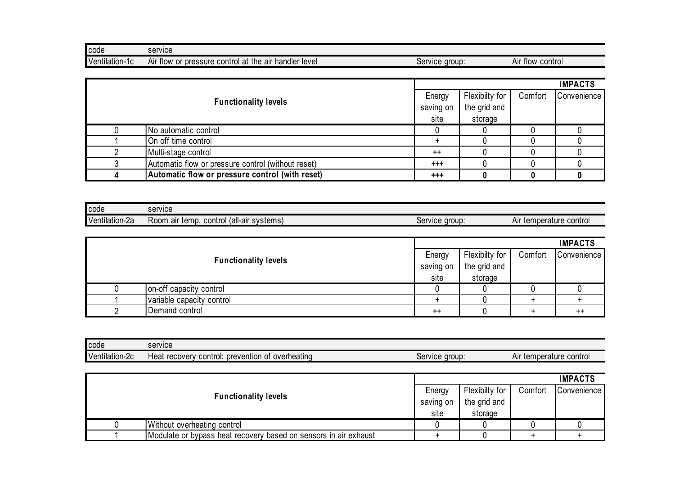| <b>code</b>    | service                                                                              |                                  |                     |
|----------------|--------------------------------------------------------------------------------------|----------------------------------|---------------------|
| Ventilation-1c | control at the l<br>handler level<br>pressure<br>air<br>Air<br>∶tlow<br>$\sim$<br>υı | e group:<br>service<br>יט<br>. . | Air flow<br>control |

|  |                                                    |           |                |         | <b>IMPACTS</b> |
|--|----------------------------------------------------|-----------|----------------|---------|----------------|
|  | <b>Functionality levels</b>                        |           | Flexibilty for | Comfort | Convenience    |
|  |                                                    | saving on | the grid and   |         |                |
|  |                                                    | site      | storage        |         |                |
|  | No automatic control                               |           |                |         |                |
|  | On off time control                                |           |                |         |                |
|  | Multi-stage control                                | $^{++}$   |                |         |                |
|  | Automatic flow or pressure control (without reset) | $^{+++}$  |                |         |                |
|  | Automatic flow or pressure control (with reset)    | $+ + +$   |                |         |                |

| <b>code</b>         | service                                                    |                  |                               |
|---------------------|------------------------------------------------------------|------------------|-------------------------------|
| Ventilation<br>n-2a | (all-air systems)<br>control<br>temp.<br>ROOM<br>air<br>◡◡ | group<br>Service | control<br>temperature<br>Air |

|                             |                           |           |                |         | <b>IMPACTS</b>   |
|-----------------------------|---------------------------|-----------|----------------|---------|------------------|
|                             |                           |           | Flexibilty for | Comfort | Convenience      |
| <b>Functionality levels</b> |                           | saving on | the grid and   |         |                  |
|                             |                           | site      | storage        |         |                  |
|                             | on-off capacity control   |           |                |         |                  |
|                             | variable capacity control |           |                |         |                  |
|                             | Demand control            | $^{++}$   |                |         | $^{\mathrm{++}}$ |

| <b>I</b> code              | service                                                                 |                |                               |
|----------------------------|-------------------------------------------------------------------------|----------------|-------------------------------|
| $\cdots$<br>Ventilation-2c | prevention<br>overheating<br>control:<br>⊣eat<br>recovery<br>ωt<br>ו שי | Service group: | control<br>temperature<br>Aır |

|                             |                                                                  |           |                |         | <b>IMPACTS</b> |
|-----------------------------|------------------------------------------------------------------|-----------|----------------|---------|----------------|
| <b>Functionality levels</b> |                                                                  | Energy    | Flexibilty for | Comfort | Convenience    |
|                             |                                                                  | saving on | the grid and   |         |                |
|                             |                                                                  | site      | storage        |         |                |
|                             | Without overheating control                                      |           |                |         |                |
|                             | Modulate or bypass heat recovery based on sensors in air exhaust |           |                |         |                |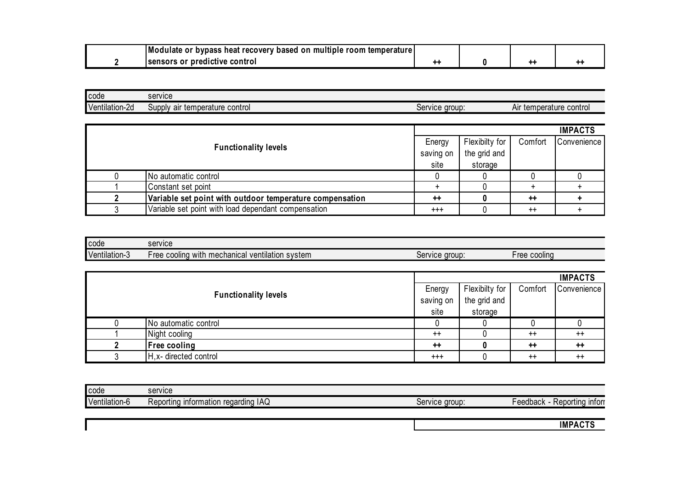|  | Modulate or<br>r bypass heat recovery based on multiple room temperature |  |  |
|--|--------------------------------------------------------------------------|--|--|
|  | <b>Isensors or predictive control</b>                                    |  |  |

| <b>I</b> code  | service                                     |                          |                         |
|----------------|---------------------------------------------|--------------------------|-------------------------|
| Ventilation-2d | control<br>air temperature<br><b>SUDDIV</b> | aroup:<br><b>Service</b> | Air temperature control |

|                             |                                                          |           |                |         | <b>IMPACTS</b>     |
|-----------------------------|----------------------------------------------------------|-----------|----------------|---------|--------------------|
|                             |                                                          |           | Flexibilty for | Comfort | <b>Convenience</b> |
| <b>Functionality levels</b> |                                                          | saving on | the grid and   |         |                    |
|                             |                                                          | site      | storage        |         |                    |
|                             | No automatic control                                     |           |                |         |                    |
|                             | Constant set point                                       |           |                |         |                    |
|                             | Variable set point with outdoor temperature compensation | $++$      |                | $++$    |                    |
|                             | Variable set point with load dependant compensation      | $^{+++}$  |                | $^{++}$ |                    |

| <b>code</b>             | service                                                                                                |                  |                         |
|-------------------------|--------------------------------------------------------------------------------------------------------|------------------|-------------------------|
| Ventilation<br>.<br>. . | $\cdots$<br>mechanical<br>with<br>svstem<br>-ree<br>, ventilation<br>lınn<br>0.001<br><b>UUUIII</b> IU | aroup<br>Service | - roc<br>cooling<br>166 |

|                             |                        |           |                |         | <b>IMPACTS</b> |
|-----------------------------|------------------------|-----------|----------------|---------|----------------|
|                             |                        |           | Flexibilty for | Comfort | Convenience    |
| <b>Functionality levels</b> |                        | saving on | the grid and   |         |                |
|                             |                        | site      | storage        |         |                |
|                             | No automatic control   |           |                |         |                |
|                             | Night cooling          | $++$      |                | $^{++}$ | $++$           |
|                             | <b>Free cooling</b>    | $++$      |                | $++$    | $++$           |
|                             | H, x- directed control | $^{+++}$  |                | $^{++}$ | $^{++}$        |

| code          | service                                     |                  |                               |
|---------------|---------------------------------------------|------------------|-------------------------------|
| Ventilation-b | า reɑardınɑ IAQ<br>information<br>Reportina | aroup<br>service | <b>Infor</b><br>.<br>⊦eedback |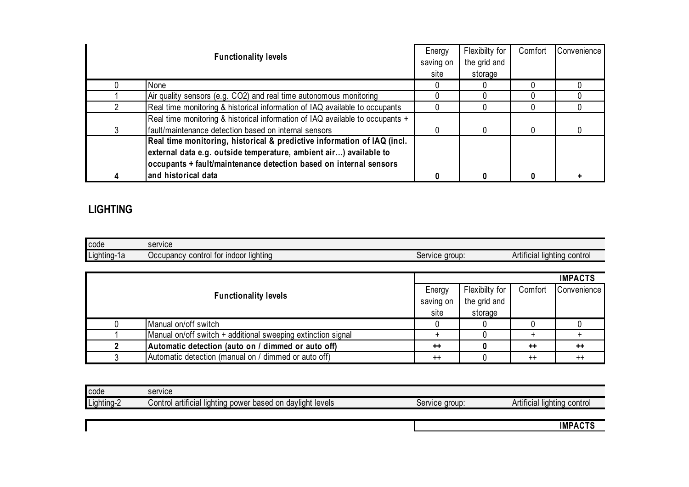|   | <b>Functionality levels</b>                                                   |           | Flexibilty for | Comfort | Convenience |
|---|-------------------------------------------------------------------------------|-----------|----------------|---------|-------------|
|   |                                                                               | saving on | the grid and   |         |             |
|   |                                                                               | site      | storage        |         |             |
|   | None                                                                          |           |                |         |             |
|   | Air quality sensors (e.g. CO2) and real time autonomous monitoring            |           |                |         |             |
|   | Real time monitoring & historical information of IAQ available to occupants   |           |                |         |             |
|   | Real time monitoring & historical information of IAQ available to occupants + |           |                |         |             |
| 3 | fault/maintenance detection based on internal sensors                         |           |                |         |             |
|   | Real time monitoring, historical & predictive information of IAQ (incl.       |           |                |         |             |
|   | external data e.g. outside temperature, ambient air) available to             |           |                |         |             |
|   | occupants + fault/maintenance detection based on internal sensors             |           |                |         |             |
| 4 | and historical data                                                           |           |                |         |             |

## **LIGHTING**

| code        | service                                                                   |                  |                                   |
|-------------|---------------------------------------------------------------------------|------------------|-----------------------------------|
| Lighting-1a | -----<br>liahtina<br>tor<br><b>Indoor</b><br>⊃∪cupancy ∩<br>con<br>trol 1 | aroup<br>Service | Artificial<br>control<br>liahtina |

| <b>Functionality levels</b> |                                                              |           |                |         | <b>IMPACTS</b>     |
|-----------------------------|--------------------------------------------------------------|-----------|----------------|---------|--------------------|
|                             |                                                              | Energy    | Flexibilty for | Comfort | <b>Convenience</b> |
|                             |                                                              | saving on | the grid and   |         |                    |
|                             |                                                              | site      | storage        |         |                    |
|                             | Manual on/off switch                                         |           |                |         |                    |
|                             | Manual on/off switch + additional sweeping extinction signal |           |                |         |                    |
|                             | Automatic detection (auto on / dimmed or auto off)           | $++$      |                | $++$    | $++$               |
|                             | Automatic detection (manual on / dimmed or auto off)         | $^{++}$   |                | $^{++}$ | $^{++}$            |

| <b>code</b> | service                                                                                                 |                                |                                   |
|-------------|---------------------------------------------------------------------------------------------------------|--------------------------------|-----------------------------------|
| Lighting-2  | . .<br>davlight levels<br>based<br>artificial<br>$\sim$<br>ontrol.<br>power<br>$\,$ , lightin $\,$<br>◡ | aroup<br>VICA<br>JU.<br>$\sim$ | control<br>Artificial<br>liahtina |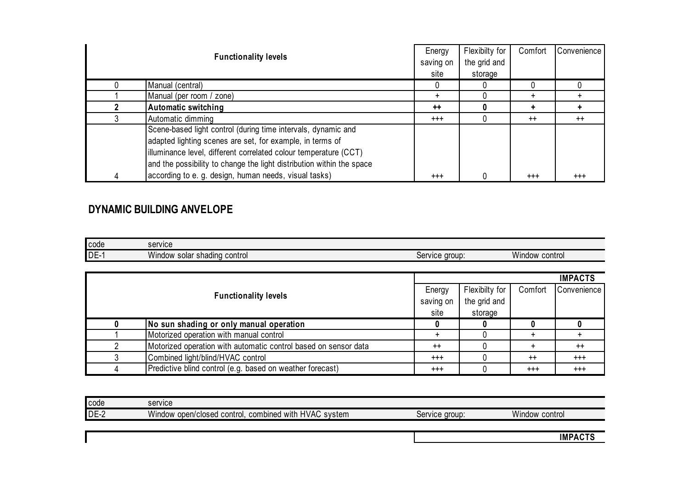|                                                                       | Energy    | Flexibilty for | Comfort   | Convenience |
|-----------------------------------------------------------------------|-----------|----------------|-----------|-------------|
| <b>Functionality levels</b>                                           | saving on | the grid and   |           |             |
|                                                                       | site      | storage        |           |             |
| Manual (central)                                                      |           |                |           |             |
| Manual (per room / zone)                                              | ÷         |                | $\ddot{}$ |             |
| <b>Automatic switching</b>                                            | $++$      |                |           |             |
| Automatic dimming                                                     | $^{+++}$  |                | $^{++}$   | $^{++}$     |
| Scene-based light control (during time intervals, dynamic and         |           |                |           |             |
| adapted lighting scenes are set, for example, in terms of             |           |                |           |             |
| illuminance level, different correlated colour temperature (CCT)      |           |                |           |             |
| and the possibility to change the light distribution within the space |           |                |           |             |
| according to e. g. design, human needs, visual tasks)                 | $^{+++}$  |                | $^{+++}$  | $^{+++}$    |

#### **DYNAMIC BUILDING ANVELOPE**

| code | service               |          |         |
|------|-----------------------|----------|---------|
| DE-  | Window                | e group. | Window  |
|      | solar shading control | Service  | control |

|                                                                 |           |                |          | <b>IMPACTS</b>     |
|-----------------------------------------------------------------|-----------|----------------|----------|--------------------|
|                                                                 | Energy    | Flexibilty for | Comfort  | <b>Convenience</b> |
| <b>Functionality levels</b>                                     | saving on | the grid and   |          |                    |
|                                                                 | site      | storage        |          |                    |
| No sun shading or only manual operation                         |           |                |          |                    |
| Motorized operation with manual control                         |           |                |          |                    |
| Motorized operation with automatic control based on sensor data | $++$      |                |          | $^{++}$            |
| Combined light/blind/HVAC control                               | $^{+++}$  |                | $^{++}$  | $^{+++}$           |
| Predictive blind control (e.g. based on weather forecast)       | $^{+++}$  |                | $^{+++}$ | $^{++}$            |

| <b>code</b> | service                                                                                                  |                          |                   |
|-------------|----------------------------------------------------------------------------------------------------------|--------------------------|-------------------|
| $DE-2$      | <b>A</b> $P$<br><b>HVAC</b><br>$\cdots$<br>combined<br>∶open/closed control.<br>svstem<br>with<br>Window | aroup.<br><b>Service</b> | Window<br>control |
|             |                                                                                                          |                          |                   |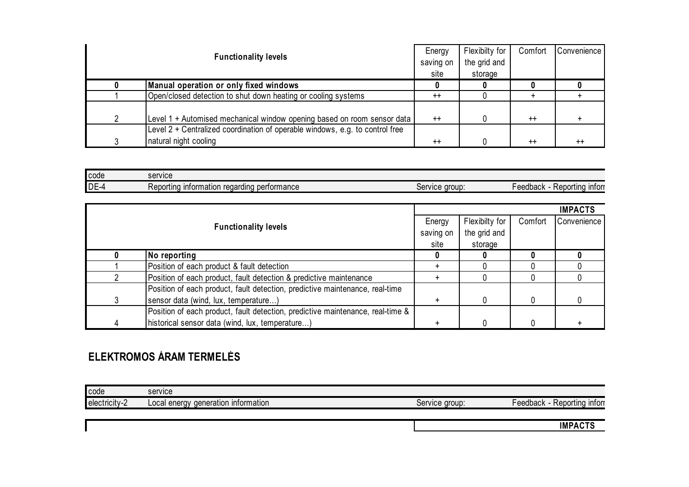|   |                                                                              | Energy    | Flexibilty for | Comfort | Convenience |
|---|------------------------------------------------------------------------------|-----------|----------------|---------|-------------|
|   | <b>Functionality levels</b>                                                  | saving on | the grid and   |         |             |
|   |                                                                              | site      | storage        |         |             |
|   | Manual operation or only fixed windows                                       |           |                |         |             |
|   | Open/closed detection to shut down heating or cooling systems                | $^{++}$   |                |         |             |
|   |                                                                              |           |                |         |             |
| 2 | Level 1 + Automised mechanical window opening based on room sensor data      | $^{++}$   |                | $++$    |             |
|   | Level 2 + Centralized coordination of operable windows, e.g. to control free |           |                |         |             |
|   | natural night cooling                                                        | $++$      |                | $++$    | $^{++}$     |

| <b>code</b> | service                                                 |                         |                                                        |
|-------------|---------------------------------------------------------|-------------------------|--------------------------------------------------------|
| $DE-4$      | performance<br>information<br>Reporting<br>'na<br>regar | aroup<br>iervice<br>JUI | <b>Infor</b><br>レヘヘベトヘヘレ<br>ortina<br>eeuvach<br>novo. |

|   |                                                                                |           |                |         | <b>IMPACTS</b> |
|---|--------------------------------------------------------------------------------|-----------|----------------|---------|----------------|
|   |                                                                                | Energy    | Flexibilty for | Comfort | Convenience    |
|   | <b>Functionality levels</b>                                                    | saving on | the grid and   |         |                |
|   |                                                                                | site      | storage        |         |                |
|   | No reporting                                                                   |           |                |         |                |
|   | Position of each product & fault detection                                     |           |                |         |                |
|   | Position of each product, fault detection & predictive maintenance             |           |                |         |                |
|   | Position of each product, fault detection, predictive maintenance, real-time   |           |                |         |                |
|   | sensor data (wind, lux, temperature)                                           |           |                |         |                |
|   | Position of each product, fault detection, predictive maintenance, real-time & |           |                |         |                |
| 4 | historical sensor data (wind, lux, temperature)                                |           |                |         |                |

## **ELEKTROMOS ÁRAM TERMELÉS**

| code          | service                                     |                           |                                                         |
|---------------|---------------------------------------------|---------------------------|---------------------------------------------------------|
| electricity-2 | deneration<br>ı ıntormatıon<br>Local energy | vice aroup:<br>.on<br>וסכ | <b>Infor</b><br>tın a<br>eedback<br>レヘヘヘ<br><b>NGDU</b> |
|               |                                             |                           |                                                         |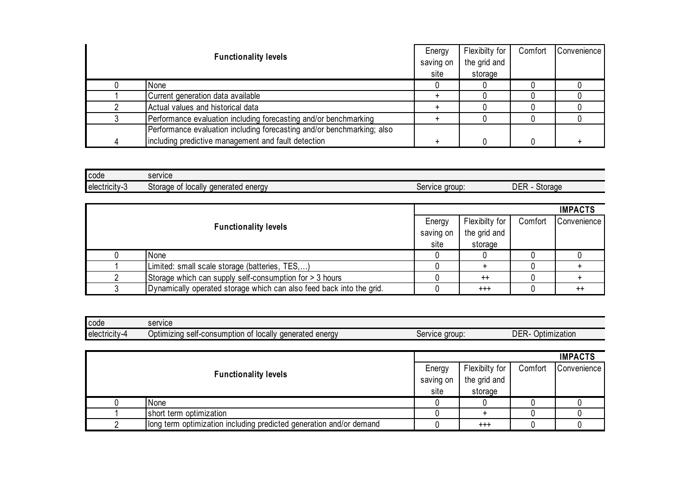|                                                                        | Energy    | Flexibilty for | Comfort | Convenience |
|------------------------------------------------------------------------|-----------|----------------|---------|-------------|
| <b>Functionality levels</b>                                            | saving on | the grid and   |         |             |
|                                                                        | site      | storage        |         |             |
| None                                                                   |           |                |         |             |
| Current generation data available                                      |           |                |         |             |
| Actual values and historical data                                      |           |                |         |             |
| Performance evaluation including forecasting and/or benchmarking       |           |                |         |             |
| Performance evaluation including forecasting and/or benchmarking; also |           |                |         |             |
| including predictive management and fault detection                    |           |                |         |             |

| <b>code</b>                | service                                                  |                                |                |
|----------------------------|----------------------------------------------------------|--------------------------------|----------------|
| $\cdots$<br>∎electricitv-3 | . .<br>locally<br>Storage<br>aenerated energy<br>n1<br>◡ | aroup<br>:anuna<br>וסט<br>៴៲៴ຬ | DER<br>Storage |

|                                                                      |           |                |         | <b>IMPACTS</b> |
|----------------------------------------------------------------------|-----------|----------------|---------|----------------|
| <b>Functionality levels</b>                                          | Energy    | Flexibilty for | Comfort | Convenience    |
|                                                                      | saving on | the grid and   |         |                |
|                                                                      | site      | storage        |         |                |
| None                                                                 |           |                |         |                |
| Limited: small scale storage (batteries, TES,)                       |           |                |         |                |
| Storage which can supply self-consumption for > 3 hours              |           | $++$           |         |                |
| Dynamically operated storage which can also feed back into the grid. |           | $^{+++}$       |         | $^{++}$        |

| code          | service                                                                          |                            |                     |
|---------------|----------------------------------------------------------------------------------|----------------------------|---------------------|
| electricity-4 | . .<br>enerav<br>locally<br>⊃ptımızına<br>aenerated<br>selt-o<br>-consumption of | e aroup:<br>iervice<br>וסט | DER<br>Optimization |

|                             |                                                                     |              |                |         | <b>IMPACTS</b> |
|-----------------------------|---------------------------------------------------------------------|--------------|----------------|---------|----------------|
|                             |                                                                     | Energy       | Flexibilty for | Comfort | Convenience    |
| <b>Functionality levels</b> | saving on                                                           | the grid and |                |         |                |
|                             |                                                                     | site         | storage        |         |                |
|                             | None                                                                |              |                |         |                |
|                             | short term optimization                                             |              |                |         |                |
|                             | long term optimization including predicted generation and/or demand |              | $^{+++}$       |         |                |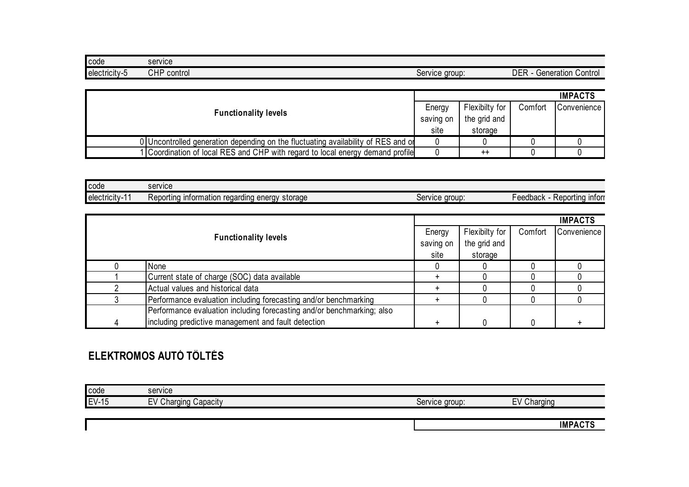| code                     | service               |                |                                            |
|--------------------------|-----------------------|----------------|--------------------------------------------|
| electricity-<br>$\cdots$ | ח⊔∩<br>control<br>∪⊓ι | Service group: | <b>DER</b><br>√ontrol⊘<br>ieneration<br>oc |

|                                                                                   |  |                |         | <b>IMPACTS</b> |
|-----------------------------------------------------------------------------------|--|----------------|---------|----------------|
| <b>Functionality levels</b><br>saving on                                          |  | Flexibilty for | Comfort | Convenience I  |
|                                                                                   |  | the grid and   |         |                |
|                                                                                   |  | storage        |         |                |
| 0 Uncontrolled generation depending on the fluctuating availability of RES and or |  |                |         |                |
| 1 Coordination of local RES and CHP with regard to local energy demand profile    |  | $^{++}$        |         |                |

| <b>code</b>               | service                                                                          |                        |                              |
|---------------------------|----------------------------------------------------------------------------------|------------------------|------------------------------|
| $\cdot$<br>Telectricity-1 | storage<br><b>Pheray</b> &<br>≺eportına<br>information<br>regard<br>Ind<br>1 I Y | aroup<br>ervice<br>וסט | Reportina infori<br>⊦eedback |

|                             |                                                                        |           |                |         | <b>IMPACTS</b> |
|-----------------------------|------------------------------------------------------------------------|-----------|----------------|---------|----------------|
| <b>Functionality levels</b> |                                                                        | Energy    | Flexibilty for | Comfort | Convenience    |
|                             |                                                                        | saving on | the grid and   |         |                |
|                             |                                                                        | site      | storage        |         |                |
|                             | None                                                                   |           |                |         |                |
|                             | Current state of charge (SOC) data available                           |           |                |         |                |
|                             | Actual values and historical data                                      |           |                |         |                |
|                             | Performance evaluation including forecasting and/or benchmarking       |           |                |         |                |
|                             | Performance evaluation including forecasting and/or benchmarking; also |           |                |         |                |
| 4                           | including predictive management and fault detection                    |           |                |         |                |

## **ELEKTROMOS AUTÓ TÖLTÉS**

| code         | service                 |                |                |
|--------------|-------------------------|----------------|----------------|
| <b>EV-15</b> | EV Charging<br>Capacity | Service group: | EV<br>Charging |
|              |                         |                |                |
|              |                         |                | <b>IMPACTS</b> |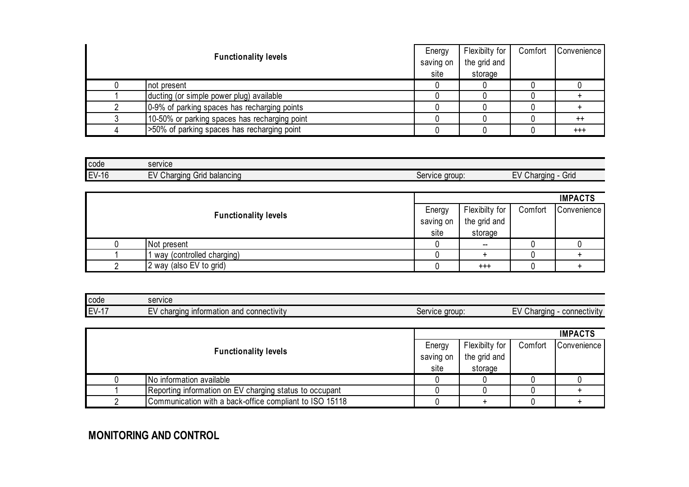| <b>Functionality levels</b>                   | Energy<br>saving on | Flexibilty for<br>the grid and | Comfort | Convenience |
|-----------------------------------------------|---------------------|--------------------------------|---------|-------------|
|                                               | site                | storage                        |         |             |
| not present                                   |                     |                                |         |             |
| ducting (or simple power plug) available      |                     |                                |         |             |
| 0-9% of parking spaces has recharging points  |                     |                                |         |             |
| 10-50% or parking spaces has recharging point |                     |                                |         | $^{++}$     |
| >50% of parking spaces has recharging point   |                     |                                |         | $^{+++}$    |

| code    | service                                   |                     |                           |
|---------|-------------------------------------------|---------------------|---------------------------|
| $EV-16$ | Charging<br>balancing<br>Grid<br><u>.</u> | , aroup:<br>Service | Grid<br>hard<br>ıınc<br>- |

|  |                             |           |                |         | <b>IMPACTS</b> |
|--|-----------------------------|-----------|----------------|---------|----------------|
|  |                             | Energy    | Flexibilty for | Comfort | Convenience    |
|  | <b>Functionality levels</b> | saving on | the grid and   |         |                |
|  |                             | site      | storage        |         |                |
|  | Not present                 |           | $\sim$         |         |                |
|  | I way (controlled charging) |           |                |         |                |
|  | 2 way (also EV to grid)     |           | $^{+++}$       |         |                |

| l code                         | service                                                                            |                   |                                                |
|--------------------------------|------------------------------------------------------------------------------------|-------------------|------------------------------------------------|
| $\mathbf{r}$<br>$-1 -$<br>$-1$ | connectivity<br><b>Taina</b><br>information<br>and<br>nhor.<br>$\sim$<br>UI<br>- ' | aroup:<br>Service | $-1$<br>connectivity<br>Charging<br>$\vdash$ V |

|                             |                                                         |              |                |         | <b>IMPACTS</b> |
|-----------------------------|---------------------------------------------------------|--------------|----------------|---------|----------------|
|                             |                                                         | Energy       | Flexibilty for | Comfort | Convenience    |
| <b>Functionality levels</b> | saving on                                               | the grid and |                |         |                |
|                             |                                                         | site         | storage        |         |                |
|                             | No information available                                |              |                |         |                |
|                             | Reporting information on EV charging status to occupant |              |                |         |                |
|                             | Communication with a back-office compliant to ISO 15118 |              |                |         |                |

**MONITORING AND CONTROL**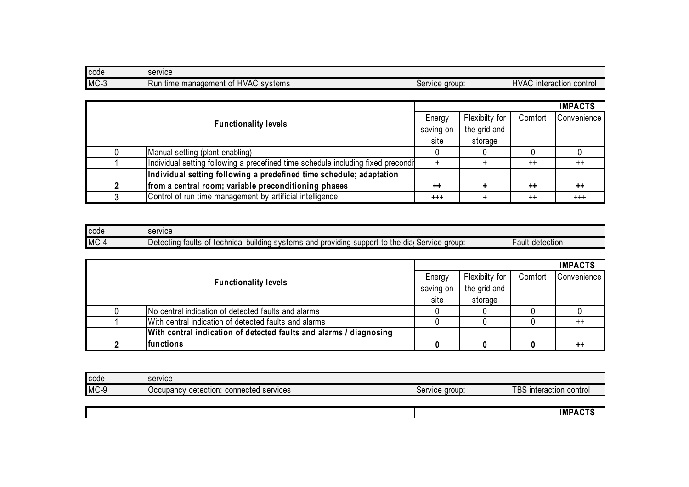| code   | service                                     |                |                                    |
|--------|---------------------------------------------|----------------|------------------------------------|
| $MC-3$ | I time management of HVAC<br>systems<br>Run | Service group: | <b>HVAC</b><br>interaction control |

|  |                             |                                                                                   |           |                |         | <b>IMPACTS</b> |
|--|-----------------------------|-----------------------------------------------------------------------------------|-----------|----------------|---------|----------------|
|  | <b>Functionality levels</b> |                                                                                   | Energy    | Flexibilty for | Comfort | Convenience    |
|  |                             |                                                                                   | saving on | the grid and   |         |                |
|  |                             |                                                                                   | site      | storage        |         |                |
|  |                             | Manual setting (plant enabling)                                                   |           |                |         |                |
|  |                             | Individual setting following a predefined time schedule including fixed precondit |           |                | $++$    | $++$           |
|  |                             | Individual setting following a predefined time schedule; adaptation               |           |                |         |                |
|  | າ                           | from a central room; variable preconditioning phases                              | $++$      |                | $++$    | $++$           |
|  |                             | Control of run time management by artificial intelligence                         | $^{+++}$  |                | $^{++}$ | $^{+++}$       |

| code              | service                                                                                                                                     |                    |
|-------------------|---------------------------------------------------------------------------------------------------------------------------------------------|--------------------|
| <b>MC</b><br>$-1$ | aroup ·<br>providing<br>support<br>technical<br>and<br>∖to the<br>'I building systems.<br>Detecting<br>dia<br>Service<br>0t<br>taults<br>-- | detection<br>≞ault |

|  |                                                                    |      |                |         | <b>IMPACTS</b>  |
|--|--------------------------------------------------------------------|------|----------------|---------|-----------------|
|  | <b>Functionality levels</b><br>saving on                           |      | Flexibilty for | Comfort | Convenience     |
|  |                                                                    |      | the grid and   |         |                 |
|  |                                                                    | site | storage        |         |                 |
|  | No central indication of detected faults and alarms                |      |                |         |                 |
|  | With central indication of detected faults and alarms              |      |                |         | $^{++}$         |
|  | With central indication of detected faults and alarms / diagnosing |      |                |         |                 |
|  | <b>functions</b>                                                   |      |                |         | $^{\mathrm{+}}$ |

| code | service                                                   |                |                                             |
|------|-----------------------------------------------------------|----------------|---------------------------------------------|
| MC-9 | connected services<br>detection:<br>Occupanc <sup>®</sup> | Service group: | <b>TBS</b><br><b>Interaction</b><br>control |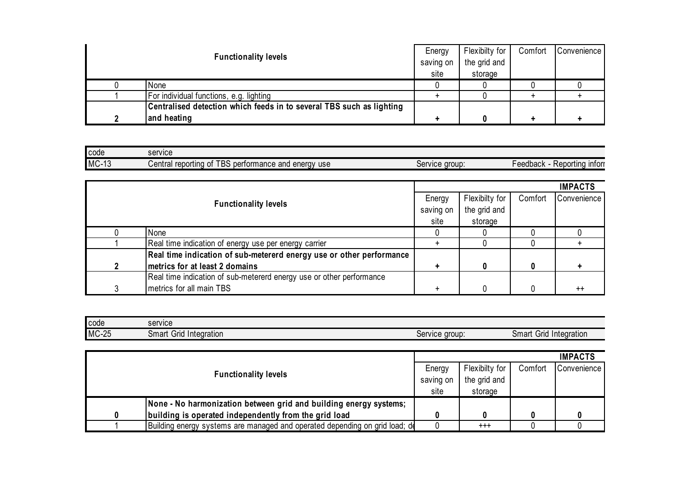| <b>Functionality levels</b> |                                                                      | Energy | Flexibilty for | Comfort | Convenience |
|-----------------------------|----------------------------------------------------------------------|--------|----------------|---------|-------------|
|                             |                                                                      |        | the grid and   |         |             |
|                             |                                                                      | site   | storage        |         |             |
|                             | None                                                                 |        |                |         |             |
|                             | For individual functions, e.g. lighting                              |        |                |         |             |
|                             | Centralised detection which feeds in to several TBS such as lighting |        |                |         |             |
|                             | and heating                                                          |        |                |         |             |

| l code  | service                                                                             |                               |                                                 |
|---------|-------------------------------------------------------------------------------------|-------------------------------|-------------------------------------------------|
| $MC-13$ | $- - -$<br>enerav<br>reporting<br>formance and<br>use<br>entral<br>e.<br>n∆rt∩<br>ິ | <b>aroup</b><br>service<br>יט | <b>Infor</b><br>Reportina<br>⊦eedback<br>. ICNO |

|   |                                                                      |        |                |         | <b>IMPACTS</b>  |
|---|----------------------------------------------------------------------|--------|----------------|---------|-----------------|
|   |                                                                      | Energy | Flexibilty for | Comfort | Convenience     |
|   | <b>Functionality levels</b><br>saving on                             |        | the grid and   |         |                 |
|   |                                                                      | site   | storage        |         |                 |
|   | None                                                                 |        |                |         |                 |
|   | Real time indication of energy use per energy carrier                |        |                |         |                 |
|   | Real time indication of sub-metererd energy use or other performance |        |                |         |                 |
|   | metrics for at least 2 domains                                       |        | 0              | 0       |                 |
|   | Real time indication of sub-metererd energy use or other performance |        |                |         |                 |
| ົ | metrics for all main TBS                                             |        |                |         | $^{\mathrm{+}}$ |

| code         | service                       |                     |                               |
|--------------|-------------------------------|---------------------|-------------------------------|
| <b>MC-25</b> | Integration<br>omartٽ<br>Grid | : aroup:<br>Service | .irid<br>Smart<br>Integration |

|                                                                             |           |                |         | <b>IMPACTS</b> |
|-----------------------------------------------------------------------------|-----------|----------------|---------|----------------|
|                                                                             |           | Flexibilty for | Comfort | Convenience    |
| <b>Functionality levels</b>                                                 | saving on | the grid and   |         |                |
|                                                                             | site      | storage        |         |                |
| None - No harmonization between grid and building energy systems;           |           |                |         |                |
| building is operated independently from the grid load                       |           |                |         |                |
| Building energy systems are managed and operated depending on grid load; de |           | $^{+++}$       |         |                |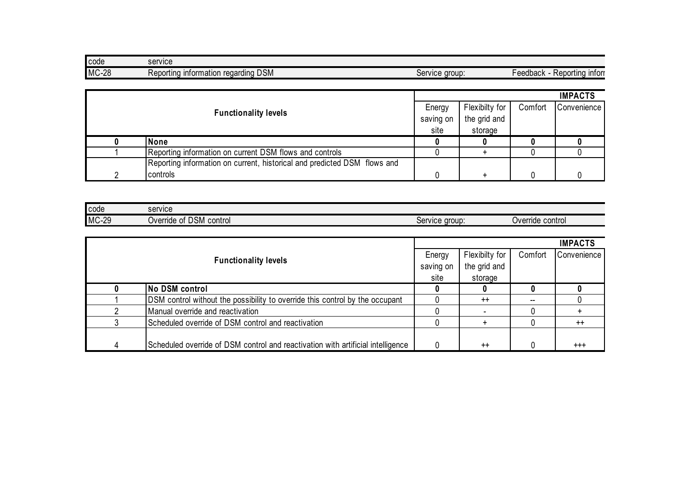| code         | service                                            |                                      |                                       |
|--------------|----------------------------------------------------|--------------------------------------|---------------------------------------|
| <b>MC-28</b> | <b>DSM</b><br>≺eporting<br>ntormation<br>regarding | aroup<br>SONUOD<br><b>JOLY</b><br>טע | <b>Infor</b><br>⊱eedback<br>Reportina |

|                                                                          |           |                |         | <b>IMPACTS</b> |
|--------------------------------------------------------------------------|-----------|----------------|---------|----------------|
|                                                                          | Energy    | Flexibilty for | Comfort | Convenience    |
| <b>Functionality levels</b>                                              | saving on | the grid and   |         |                |
|                                                                          | site      | storage        |         |                |
| None                                                                     |           |                |         |                |
| Reporting information on current DSM flows and controls                  |           |                |         |                |
| Reporting information on current, historical and predicted DSM flows and |           |                |         |                |
| controls                                                                 |           |                |         |                |

| code         | service                                 |                |                     |
|--------------|-----------------------------------------|----------------|---------------------|
| <b>MC-29</b> | <b>DSM</b><br>control<br>Override<br>0t | Service group: | control<br>Override |

|   |                                                                                 |        |                |         | <b>IMPACTS</b> |
|---|---------------------------------------------------------------------------------|--------|----------------|---------|----------------|
|   |                                                                                 | Energy | Flexibilty for | Comfort | Convenience    |
|   | <b>Functionality levels</b>                                                     |        | the grid and   |         |                |
|   |                                                                                 |        | storage        |         |                |
|   | No DSM control                                                                  |        |                |         |                |
|   | DSM control without the possibility to override this control by the occupant    |        | $++$           | $-$     |                |
|   | Manual override and reactivation                                                |        |                |         |                |
|   | Scheduled override of DSM control and reactivation                              |        | $\div$         |         | $^{++}$        |
|   |                                                                                 |        |                |         |                |
| 4 | Scheduled override of DSM control and reactivation with artificial intelligence |        | $^{++}$        |         | $^{+++}$       |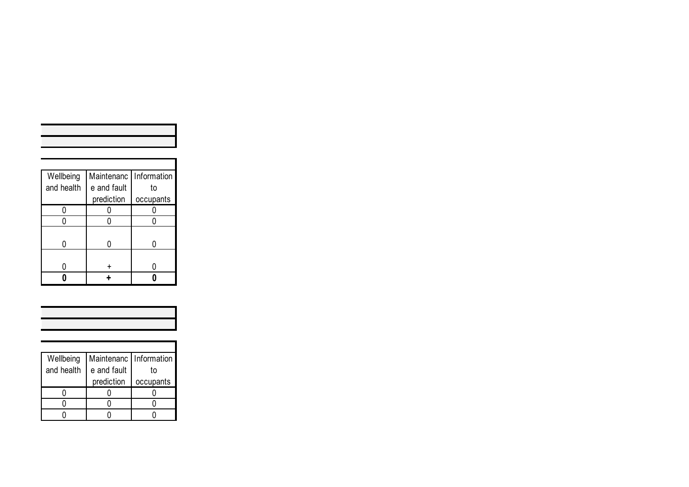| Wellbeing  | Maintenanc  | Information |
|------------|-------------|-------------|
| and health | e and fault | to          |
|            | prediction  | occupants   |
|            |             |             |
|            |             |             |
|            |             |             |
|            |             |             |
|            |             |             |
|            |             |             |
|            |             |             |

| Wellbeing  | Maintenanc   Information |           |
|------------|--------------------------|-----------|
| and health | e and fault              | to        |
|            | prediction               | occupants |
|            |                          |           |
|            |                          |           |
|            |                          |           |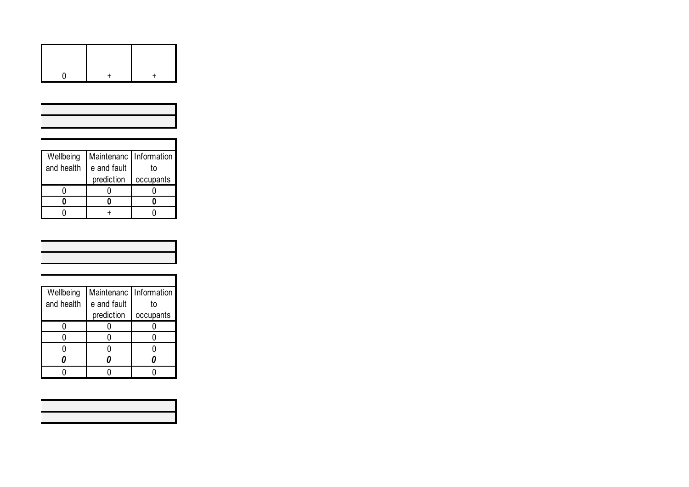| Wellbeing  | Maintenanc   Information |           |
|------------|--------------------------|-----------|
| and health | e and fault              | t٥        |
|            | prediction               | occupants |
|            |                          |           |
|            |                          |           |
|            |                          |           |

| Wellbeing  | Maintenanc  | <b>Information</b> |
|------------|-------------|--------------------|
| and health | e and fault | t٥                 |
|            | prediction  | occupants          |
|            |             |                    |
|            |             |                    |
|            |             |                    |
|            |             |                    |
|            |             |                    |

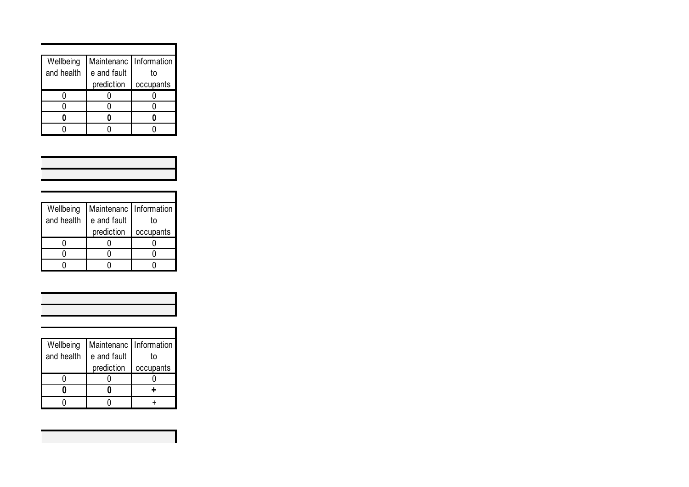| Wellbeing  | Maintenanc   Information |           |
|------------|--------------------------|-----------|
| and health | e and fault              | t٥        |
|            | prediction               | occupants |
|            |                          |           |
|            |                          |           |
|            |                          |           |
|            |                          |           |

| <u> 1989 - Johann Barnett, mars et al. 1989 - Anna anno 1989 - Anna anno 1989 - Anna anno 1989 - Anna anno 1989 - </u> |  |  |
|------------------------------------------------------------------------------------------------------------------------|--|--|
|                                                                                                                        |  |  |
|                                                                                                                        |  |  |
|                                                                                                                        |  |  |
|                                                                                                                        |  |  |
|                                                                                                                        |  |  |
|                                                                                                                        |  |  |
|                                                                                                                        |  |  |
|                                                                                                                        |  |  |

| Wellbeing  | Maintenanc   Information |           |
|------------|--------------------------|-----------|
| and health | e and fault              | t٥        |
|            | prediction               | occupants |
|            |                          |           |
|            |                          |           |
|            |                          |           |

| Wellbeing  | Maintenanc   Information |           |
|------------|--------------------------|-----------|
| and health | e and fault              | t٥        |
|            | prediction               | occupants |
|            |                          |           |
|            |                          |           |
|            |                          |           |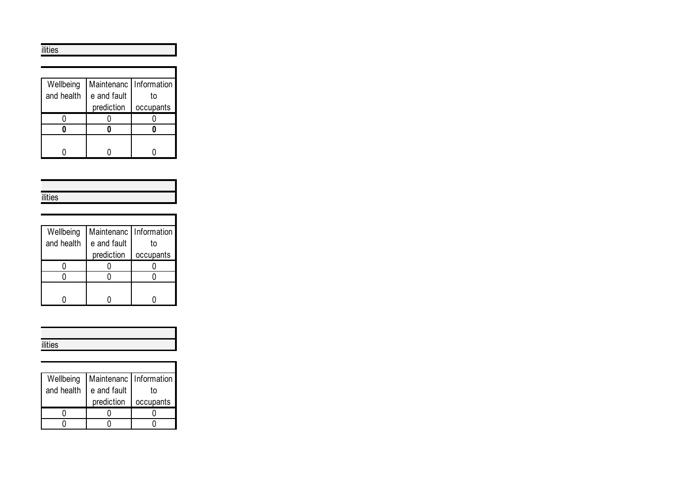ilities

| Wellbeing  | Maintenanc   Information |           |
|------------|--------------------------|-----------|
| and health | e and fault              | t٥        |
|            | prediction               | occupants |
|            |                          |           |
|            |                          |           |
|            |                          |           |
|            |                          |           |

| STORY          |
|----------------|
| <b>ilities</b> |
|                |

| Wellbeing  | Maintenanc   Information |           |
|------------|--------------------------|-----------|
| and health | e and fault              | t٥        |
|            | prediction               | occupants |
|            |                          |           |
|            |                          |           |
|            |                          |           |
|            |                          |           |

| <br>$\cdots$<br>$\overline{\phantom{a}}$ |
|------------------------------------------|

| Wellbeing  | Maintenanc   Information |           |
|------------|--------------------------|-----------|
| and health | e and fault              | t٥        |
|            | prediction               | occupants |
|            |                          |           |
|            |                          |           |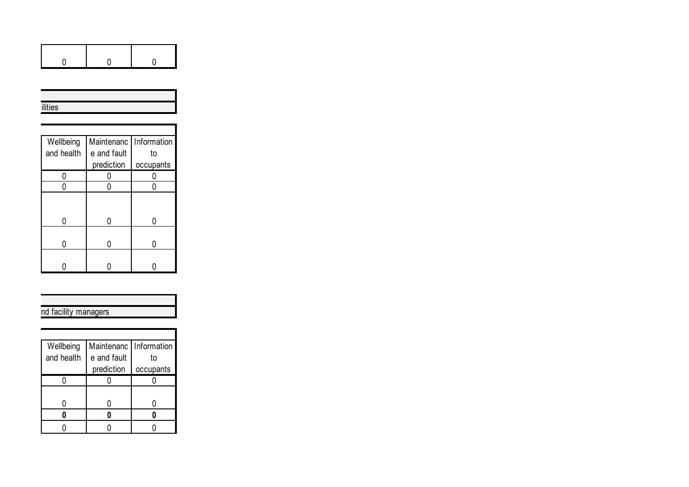|--|

| ilities |
|---------|

| Wellbeing  | Maintenanc   Information |           |
|------------|--------------------------|-----------|
| and health | e and fault              | to        |
|            | prediction               | occupants |
| 0          |                          |           |
|            |                          |           |
|            |                          |           |
| O          |                          |           |
| N          |                          |           |
|            |                          |           |

#### nd facility managers

| Wellbeing  | Maintenanc  | <b>Information</b> |
|------------|-------------|--------------------|
| and health | e and fault | t٥                 |
|            | prediction  | occupants          |
|            |             |                    |
|            |             |                    |
|            |             |                    |
|            |             |                    |
|            |             |                    |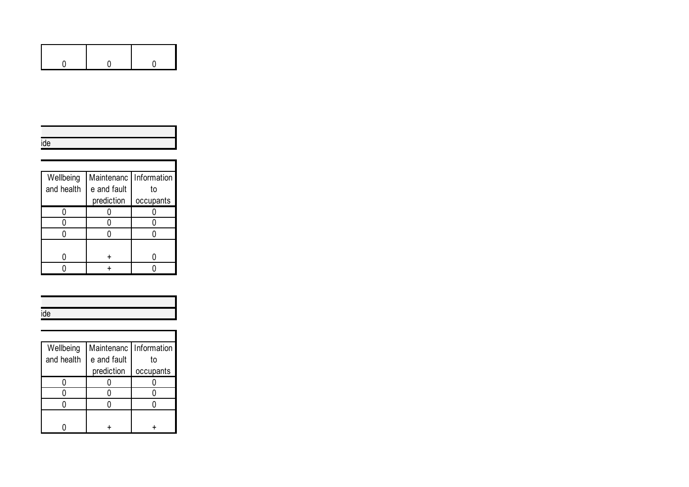| Wellbeing  | Maintenanc  | Information |
|------------|-------------|-------------|
| and health | e and fault | t٥          |
|            | prediction  | occupants   |
|            |             |             |
|            |             |             |
|            |             |             |
|            |             |             |
|            |             |             |
|            |             |             |

| Wellbeing  | Maintenanc   Information |           |
|------------|--------------------------|-----------|
| and health | e and fault              | t٥        |
|            | prediction               | occupants |
|            |                          |           |
|            |                          |           |
|            |                          |           |
|            |                          |           |
|            |                          |           |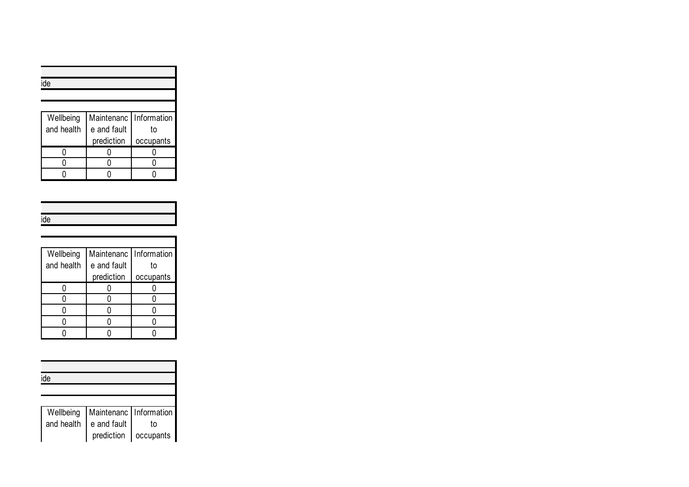| ide        |                          |           |
|------------|--------------------------|-----------|
|            |                          |           |
|            |                          |           |
| Wellbeing  | Maintenanc   Information |           |
| and health | e and fault              | to        |
|            | prediction               | occupants |
|            |                          |           |
|            |                          |           |
|            |                          |           |

| ue |
|----|
|    |

| Wellbeing  | Maintenanc   Information |           |
|------------|--------------------------|-----------|
| and health | e and fault              | t٥        |
|            | prediction               | occupants |
|            |                          |           |
|            |                          |           |
|            |                          |           |
|            |                          |           |
|            |                          |           |

| ide        |                        |           |
|------------|------------------------|-----------|
|            |                        |           |
|            |                        |           |
| Wellbeing  | Maintenanc Information |           |
| and health | e and fault            | to        |
|            | prediction             | occupants |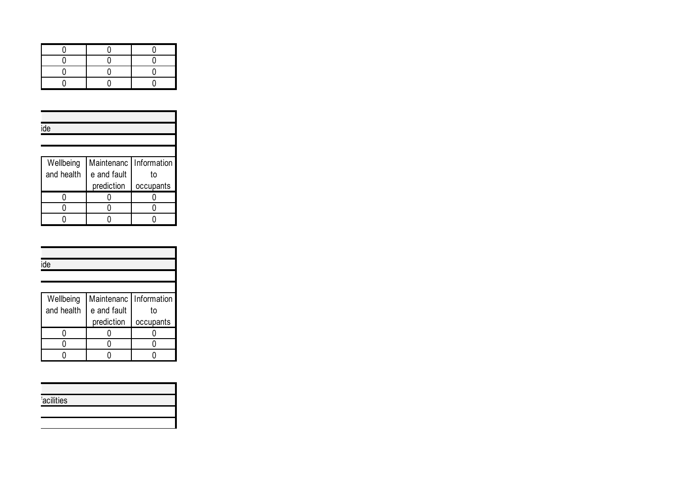| ide        |                          |           |
|------------|--------------------------|-----------|
|            |                          |           |
|            |                          |           |
| Wellbeing  | Maintenanc   Information |           |
| and health | e and fault              | to        |
|            | prediction               | occupants |
|            |                          |           |
|            |                          |           |
|            |                          |           |

| ide        |                          |           |
|------------|--------------------------|-----------|
|            |                          |           |
|            |                          |           |
| Wellbeing  | Maintenanc   Information |           |
| and health | e and fault              | to        |
|            | prediction               | occupants |
|            |                          |           |
|            |                          |           |
|            |                          |           |

| acilities |
|-----------|
|           |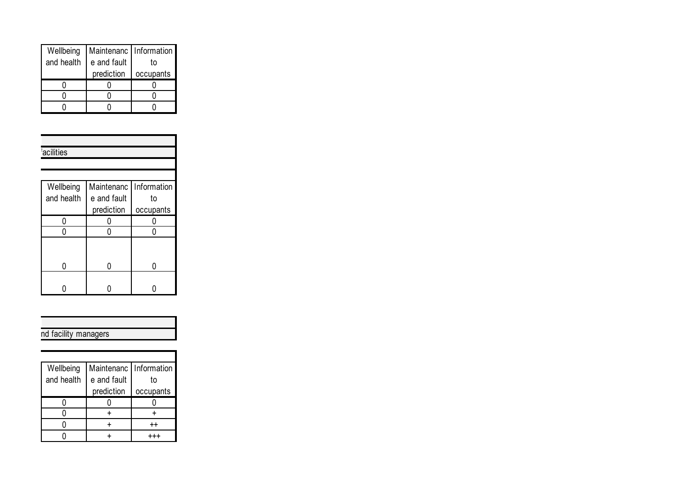| Wellbeing  | Maintenanc   Information |           |
|------------|--------------------------|-----------|
| and health | e and fault              | t٥        |
|            | prediction               | occupants |
|            |                          |           |
|            |                          |           |
|            |                          |           |

|  | acilities  |             |             |
|--|------------|-------------|-------------|
|  |            |             |             |
|  |            |             |             |
|  | Wellbeing  | Maintenanc  | Information |
|  | and health | e and fault | to          |
|  |            | prediction  | occupants   |
|  |            |             |             |
|  |            |             |             |
|  |            |             |             |
|  |            |             |             |
|  |            |             |             |
|  |            |             |             |
|  |            |             |             |

| nd facility managers |
|----------------------|

| Wellbeing  | Maintenanc   Information |           |
|------------|--------------------------|-----------|
| and health | e and fault              | t٥        |
|            | prediction               | occupants |
|            |                          |           |
|            |                          |           |
|            |                          |           |
|            |                          |           |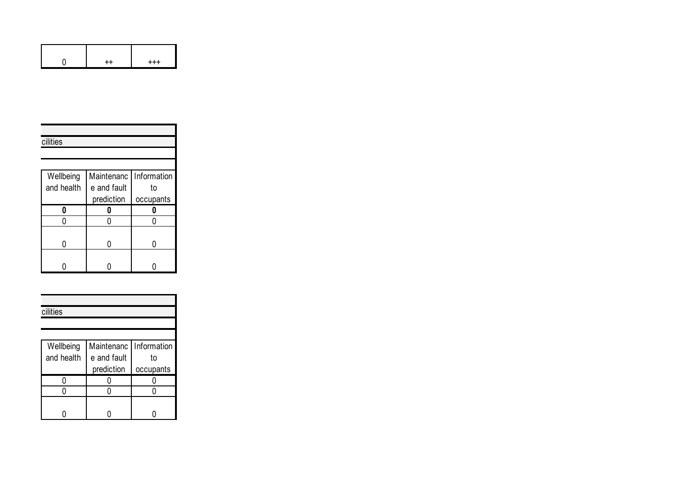|  | $^{+++}$ |
|--|----------|

| cilities   |                          |           |
|------------|--------------------------|-----------|
|            |                          |           |
|            |                          |           |
| Wellbeing  | Maintenanc   Information |           |
| and health | e and fault              | to        |
|            | prediction               | occupants |
| Λ          |                          |           |
|            |                          |           |
|            |                          |           |
|            |                          |           |
|            |                          |           |
|            |                          |           |

| cilities   |                        |           |
|------------|------------------------|-----------|
|            |                        |           |
|            |                        |           |
| Wellbeing  | Maintenanc Information |           |
| and health | e and fault            | to        |
|            | prediction             | occupants |
|            |                        |           |
|            |                        |           |
|            |                        |           |
|            |                        |           |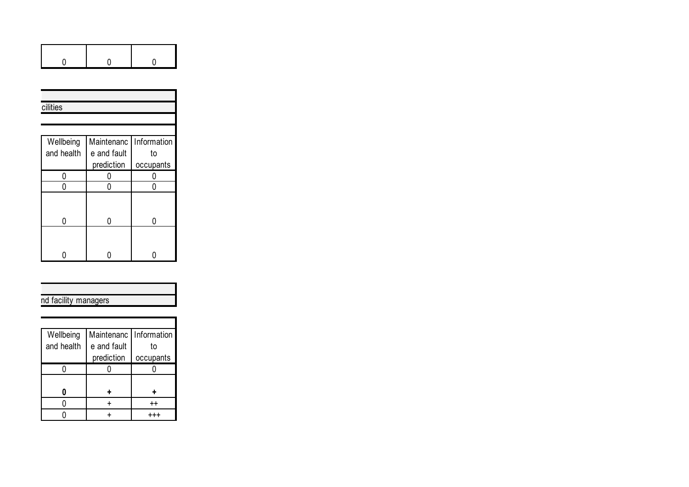| 0          | 0           | 0           |
|------------|-------------|-------------|
|            |             |             |
|            |             |             |
| cilities   |             |             |
|            |             |             |
|            |             |             |
| Wellbeing  | Maintenanc  | Information |
| and health | e and fault | to          |
|            | prediction  | occupants   |
|            |             |             |
| 0          | 0           | 0           |
|            |             |             |
| N          | N           | N           |
|            |             |             |

 $\overline{\phantom{a}}$ 

# nd facility managers

 $\begin{array}{c|c|c|c|c} \hline \circ & \circ & \circ \end{array}$ 

| Wellbeing  | Maintenanc   Information |                 |
|------------|--------------------------|-----------------|
| and health | e and fault              | t٥              |
|            | prediction               | occupants       |
|            |                          |                 |
|            |                          |                 |
|            |                          |                 |
|            |                          | $^{\mathrm{+}}$ |
|            |                          |                 |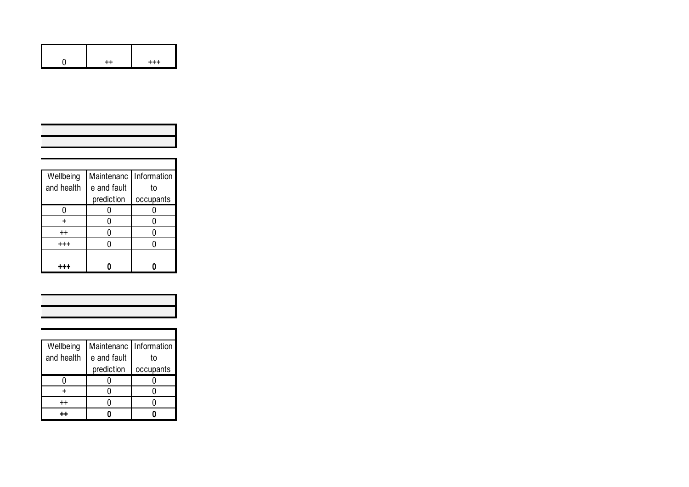|  | $^{+++}$ |
|--|----------|

| Wellbeing         | Maintenanc  | Information |
|-------------------|-------------|-------------|
| and health        | e and fault | to          |
|                   | prediction  | occupants   |
|                   |             |             |
|                   |             |             |
| $^{\mathrm{+}}$   |             |             |
| $^{\mathrm{+++}}$ |             |             |
|                   |             |             |
|                   |             |             |

| Wellbeing  | Maintenanc   Information |           |
|------------|--------------------------|-----------|
| and health | e and fault              | t٥        |
|            | prediction               | occupants |
|            |                          |           |
|            |                          |           |
| $++$       |                          |           |
|            |                          |           |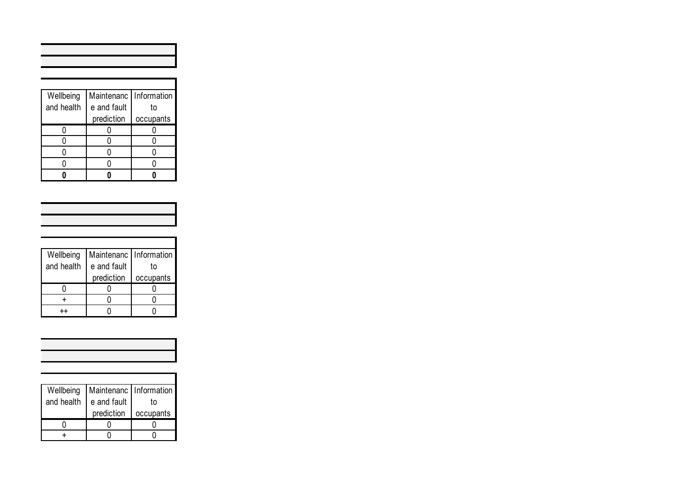| Wellbeing  | Maintenanc  | Information |
|------------|-------------|-------------|
| and health | e and fault | to          |
|            | prediction  | occupants   |
|            |             |             |
|            |             |             |
|            |             |             |
|            |             |             |
|            |             |             |

| Wellbeing  | Maintenanc   Information |           |
|------------|--------------------------|-----------|
| and health | e and fault              | t٥        |
|            | prediction               | occupants |
|            |                          |           |
|            |                          |           |
|            |                          |           |

| Wellbeing  | Maintenanc   Information |           |
|------------|--------------------------|-----------|
| and health | e and fault              | t٥        |
|            | prediction               | occupants |
|            |                          |           |
|            |                          |           |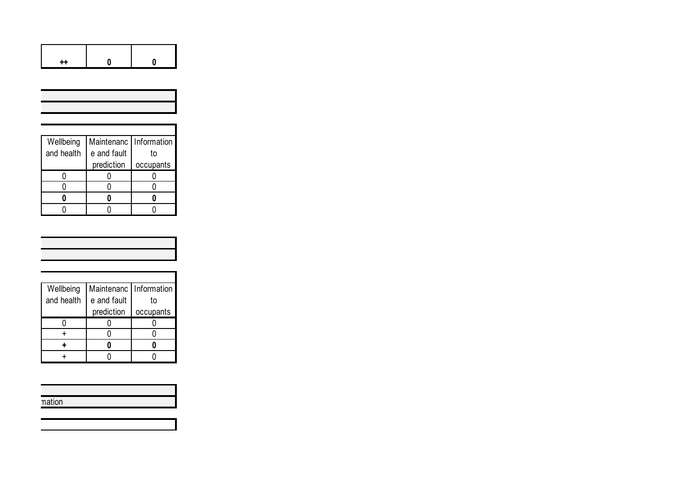|            | Λ           |             |
|------------|-------------|-------------|
|            |             |             |
|            |             |             |
|            |             |             |
|            |             |             |
| Wellbeing  | Maintenanc  | Information |
| and health | e and fault | to          |
|            | prediction  | occupants   |
| n          |             |             |
| N          | 0           |             |
| n          | 0           | Λ           |
|            |             |             |

| Wellbeing  | Maintenanc   Information |           |
|------------|--------------------------|-----------|
| and health | e and fault              | t٥        |
|            | prediction               | occupants |
|            |                          |           |
|            |                          |           |
|            |                          |           |
|            |                          |           |

| nation |
|--------|
|        |
|        |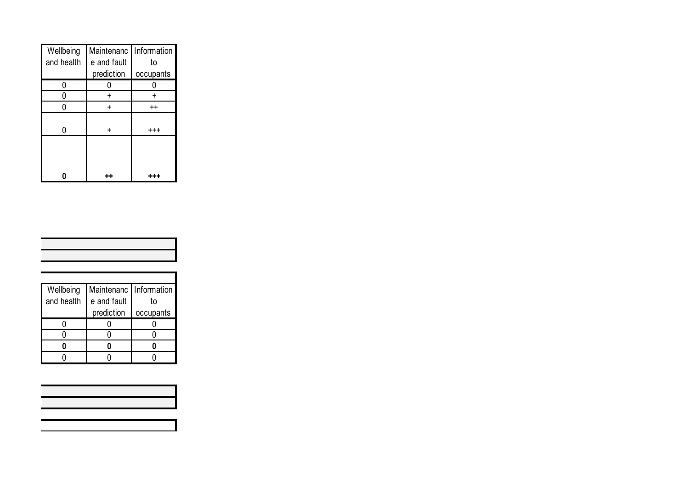| Wellbeing  | Maintenanc  | Information     |
|------------|-------------|-----------------|
| and health | e and fault | to              |
|            | prediction  | occupants       |
| n          |             |                 |
|            |             |                 |
|            |             | $^{\mathrm{+}}$ |
|            |             |                 |
|            |             | $^{++}$         |
|            |             |                 |
|            |             |                 |

| Wellbeing  | Maintenanc  | Information |
|------------|-------------|-------------|
| and health | e and fault | t٥          |
|            | prediction  | occupants   |
|            |             |             |
|            |             |             |
|            |             |             |
|            |             |             |

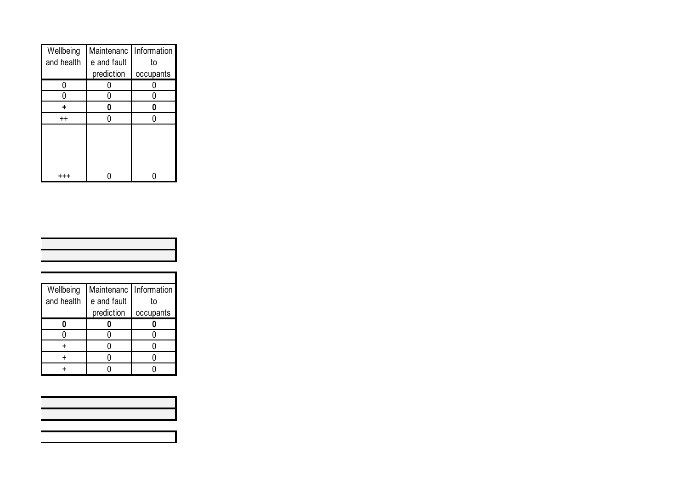| Wellbeing       | Maintenanc  | Information |
|-----------------|-------------|-------------|
| and health      | e and fault | to          |
|                 | prediction  | occupants   |
|                 |             |             |
|                 |             |             |
|                 |             |             |
| $^{\mathrm{+}}$ |             |             |
|                 |             |             |

| Wellbeing  | Maintenanc  | Information |
|------------|-------------|-------------|
| and health | e and fault | t٥          |
|            | prediction  | occupants   |
|            |             |             |
|            |             |             |
|            |             |             |
|            |             |             |
|            |             |             |

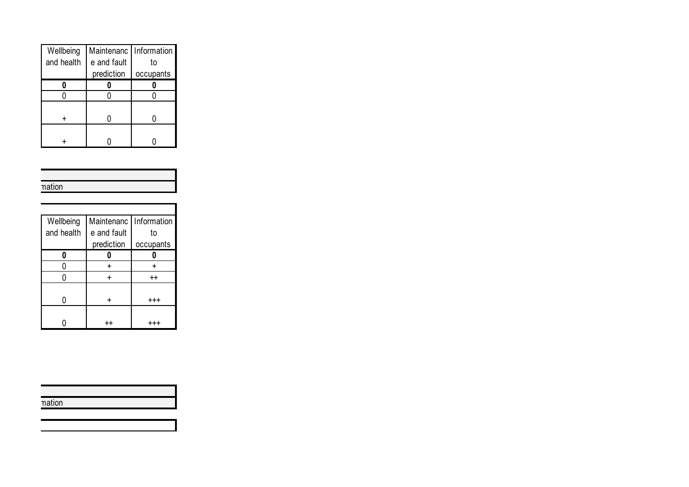| Wellbeing  | Maintenanc   Information |           |
|------------|--------------------------|-----------|
| and health | e and fault              | t٥        |
|            | prediction               | occupants |
|            |                          |           |
|            |                          |           |
|            |                          |           |
|            |                          |           |
|            |                          |           |
|            |                          |           |

| nation |
|--------|

| Wellbeing  | Maintenanc   Information |                  |
|------------|--------------------------|------------------|
| and health | e and fault              | to               |
|            | prediction               | occupants        |
|            |                          |                  |
|            |                          |                  |
|            |                          | $^{\mathrm{++}}$ |
|            |                          |                  |
|            |                          |                  |
|            |                          |                  |
|            |                          |                  |

| $\sim$ 10 $\sim$<br>n <sub>0</sub> |  |
|------------------------------------|--|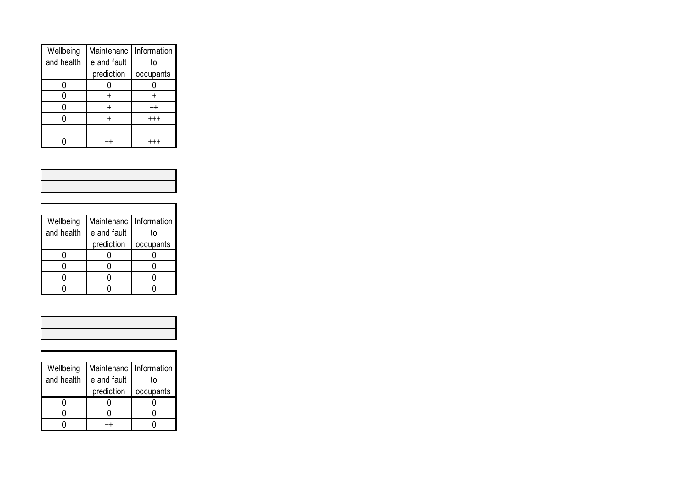| Wellbeing  | Maintenanc   Information |                 |
|------------|--------------------------|-----------------|
| and health | e and fault              | to              |
|            | prediction               | occupants       |
|            |                          |                 |
|            |                          |                 |
|            |                          | $^{\mathrm{+}}$ |
|            |                          | $^{+++}$        |
|            |                          |                 |
|            |                          |                 |

| Wellbeing<br>and health | Maintenanc<br>e and fault<br>prediction | Information<br>to<br>occupants |
|-------------------------|-----------------------------------------|--------------------------------|
|                         |                                         |                                |
|                         |                                         |                                |
|                         |                                         |                                |
|                         |                                         |                                |

| Wellbeing  | Maintenanc   Information |           |
|------------|--------------------------|-----------|
| and health | e and fault              | to        |
|            | prediction               | occupants |
|            |                          |           |
|            |                          |           |
|            |                          |           |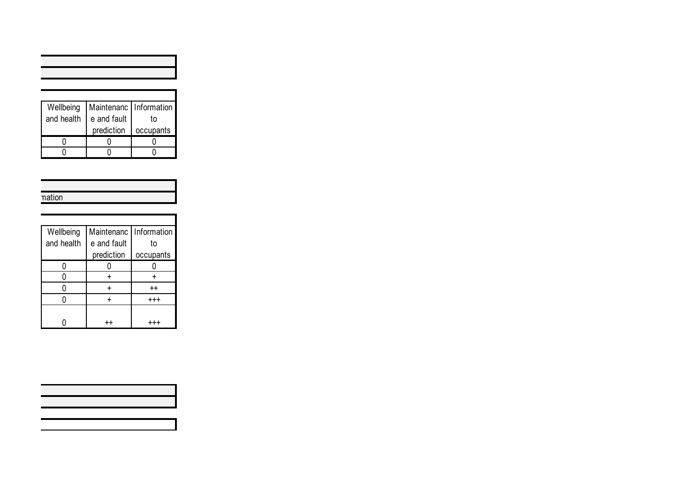| Wellbeing  | Maintenanc   Information |           |
|------------|--------------------------|-----------|
| and health | e and fault              | t٥        |
|            | prediction               | occupants |
|            |                          |           |
|            |                          |           |

| nation |
|--------|
|        |
|        |

| Wellbeing  | Maintenanc  | Information     |
|------------|-------------|-----------------|
| and health | e and fault | t٥              |
|            | prediction  | occupants       |
|            |             |                 |
|            |             |                 |
|            |             | $^{\mathrm{+}}$ |
|            |             | $^{+++}$        |
|            |             |                 |
|            |             |                 |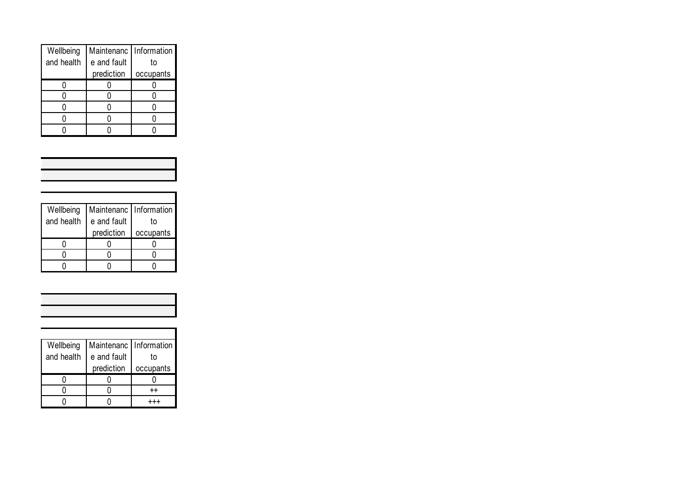| Wellbeing  | Maintenanc   Information |           |
|------------|--------------------------|-----------|
| and health | e and fault              | t٥        |
|            | prediction               | occupants |
|            |                          |           |
|            |                          |           |
|            |                          |           |
|            |                          |           |
|            |                          |           |

| Wellbeing  | Maintenanc   Information |           |
|------------|--------------------------|-----------|
| and health | e and fault              | t٥        |
|            | prediction               | occupants |
|            |                          |           |
|            |                          |           |
|            |                          |           |

| Wellbeing  | Maintenanc   Information |           |
|------------|--------------------------|-----------|
| and health | e and fault              | t٥        |
|            | prediction               | occupants |
|            |                          |           |
|            |                          | $+ +$     |
|            |                          |           |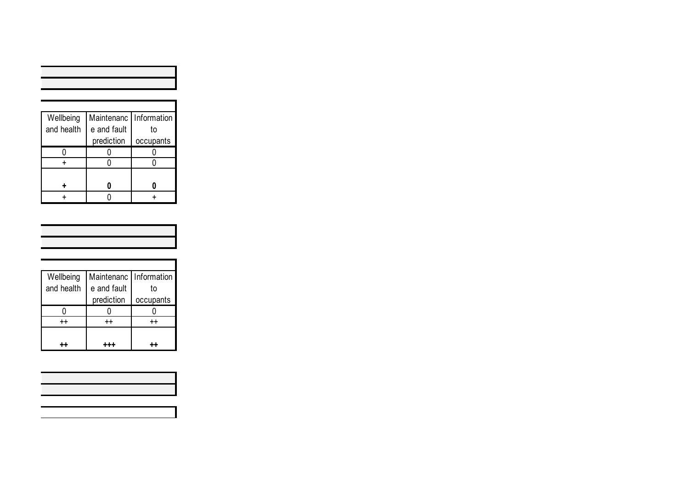| Wellbeing  | Maintenanc  | <b>Information</b> |
|------------|-------------|--------------------|
| and health | e and fault | to                 |
|            | prediction  | occupants          |
|            |             |                    |
|            |             |                    |
|            |             |                    |
|            |             |                    |
|            |             |                    |

| Wellbeing       | Maintenanc   Information |                 |
|-----------------|--------------------------|-----------------|
| and health      | e and fault              | t٥              |
|                 | prediction               | occupants       |
|                 |                          |                 |
| $^{\mathrm{+}}$ | $^{++}$                  | $^{\mathrm{+}}$ |
|                 |                          |                 |
|                 |                          |                 |

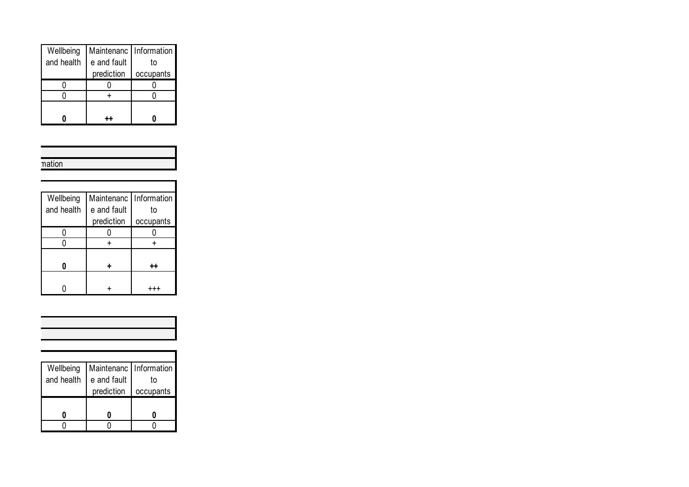| Wellbeing  | Maintenanc   Information |           |
|------------|--------------------------|-----------|
| and health | e and fault              | to        |
|            | prediction               | occupants |
|            |                          |           |
|            |                          |           |
|            |                          |           |
|            |                          |           |

| nation |
|--------|

| Wellbeing  | Maintenanc  | <b>Information</b> |
|------------|-------------|--------------------|
| and health | e and fault | to                 |
|            | prediction  | occupants          |
|            |             |                    |
|            |             |                    |
|            |             |                    |
|            |             |                    |
|            |             |                    |
|            |             |                    |

| Wellbeing  | Maintenanc   Information |           |
|------------|--------------------------|-----------|
| and health | e and fault              | t٥        |
|            | prediction               | occupants |
|            |                          |           |
|            |                          |           |
|            |                          |           |